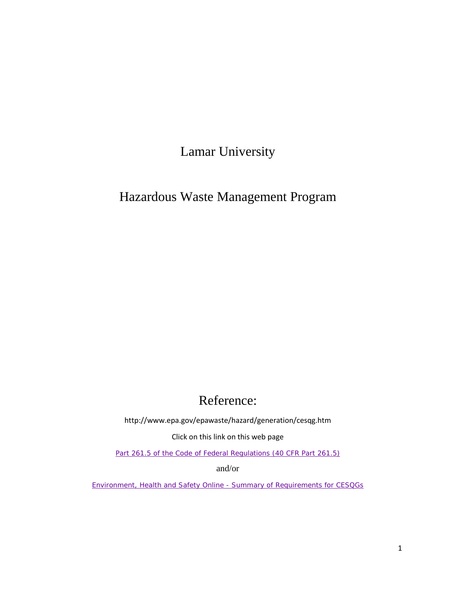Lamar University

### Hazardous Waste Management Program

## Reference:

http://www.epa.gov/epawaste/hazard/generation/cesqg.htm

Click on this link on this web page

[Part 261.5 of the Code of Federal Regulations \(40 CFR Part 261.5\)](http://www.gpo.gov/fdsys/search/pagedetails.action?browsePath=Title+40%2FChapter+I%2FSubchapter+I%2FPart+261%2FSubpart+A%2FSection+261.5&granuleId=CFR-2012-title40-vol27-sec261-5&packageId=CFR-2012-title40-vol27&collapse=true&fromBrowse=true)

and/or

[Environment, Health and Safety Online -](http://www.ehso.com/Generatr_CESQGl.htm) Summary of Requirements for CESQGs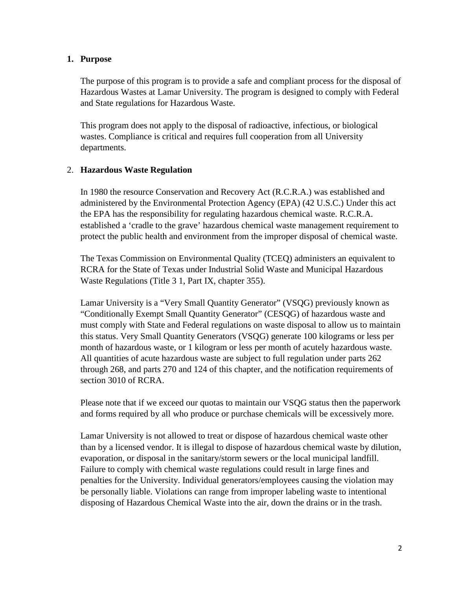#### **1. Purpose**

The purpose of this program is to provide a safe and compliant process for the disposal of Hazardous Wastes at Lamar University. The program is designed to comply with Federal and State regulations for Hazardous Waste.

This program does not apply to the disposal of radioactive, infectious, or biological wastes. Compliance is critical and requires full cooperation from all University departments.

#### 2. **Hazardous Waste Regulation**

In 1980 the resource Conservation and Recovery Act (R.C.R.A.) was established and administered by the Environmental Protection Agency (EPA) (42 U.S.C.) Under this act the EPA has the responsibility for regulating hazardous chemical waste. R.C.R.A. established a 'cradle to the grave' hazardous chemical waste management requirement to protect the public health and environment from the improper disposal of chemical waste.

The Texas Commission on Environmental Quality (TCEQ) administers an equivalent to RCRA for the State of Texas under Industrial Solid Waste and Municipal Hazardous Waste Regulations (Title 3 1, Part IX, chapter 355).

Lamar University is a "Very Small Quantity Generator" (VSQG) previously known as "Conditionally Exempt Small Quantity Generator" (CESQG) of hazardous waste and must comply with State and Federal regulations on waste disposal to allow us to maintain this status. Very Small Quantity Generators (VSQG) generate 100 kilograms or less per month of hazardous waste, or 1 kilogram or less per month of acutely hazardous waste. All quantities of acute hazardous waste are subject to full regulation under parts 262 through 268, and parts 270 and 124 of this chapter, and the notification requirements of section 3010 of RCRA.

Please note that if we exceed our quotas to maintain our VSQG status then the paperwork and forms required by all who produce or purchase chemicals will be excessively more.

Lamar University is not allowed to treat or dispose of hazardous chemical waste other than by a licensed vendor. It is illegal to dispose of hazardous chemical waste by dilution, evaporation, or disposal in the sanitary/storm sewers or the local municipal landfill. Failure to comply with chemical waste regulations could result in large fines and penalties for the University. Individual generators/employees causing the violation may be personally liable. Violations can range from improper labeling waste to intentional disposing of Hazardous Chemical Waste into the air, down the drains or in the trash.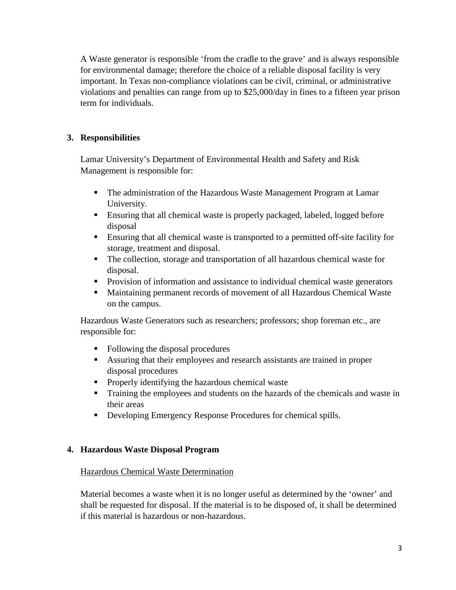A Waste generator is responsible 'from the cradle to the grave' and is always responsible for environmental damage; therefore the choice of a reliable disposal facility is very important. In Texas non-compliance violations can be civil, criminal, or administrative violations and penalties can range from up to \$25,000/day in fines to a fifteen year prison term for individuals.

### **3. Responsibilities**

Lamar University's Department of Environmental Health and Safety and Risk Management is responsible for:

- The administration of the Hazardous Waste Management Program at Lamar University.
- Ensuring that all chemical waste is properly packaged, labeled, logged before disposal
- Ensuring that all chemical waste is transported to a permitted off-site facility for storage, treatment and disposal.
- The collection, storage and transportation of all hazardous chemical waste for disposal.
- **Provision of information and assistance to individual chemical waste generators**
- Maintaining permanent records of movement of all Hazardous Chemical Waste on the campus.

Hazardous Waste Generators such as researchers; professors; shop foreman etc., are responsible for:

- Following the disposal procedures
- Assuring that their employees and research assistants are trained in proper disposal procedures
- **Properly identifying the hazardous chemical waste**
- Training the employees and students on the hazards of the chemicals and waste in their areas
- Developing Emergency Response Procedures for chemical spills.

#### **4. Hazardous Waste Disposal Program**

#### Hazardous Chemical Waste Determination

Material becomes a waste when it is no longer useful as determined by the 'owner' and shall be requested for disposal. If the material is to be disposed of, it shall be determined if this material is hazardous or non-hazardous.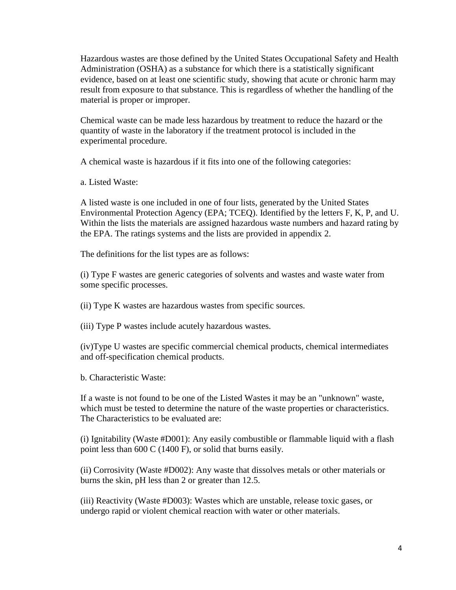Hazardous wastes are those defined by the United States Occupational Safety and Health Administration (OSHA) as a substance for which there is a statistically significant evidence, based on at least one scientific study, showing that acute or chronic harm may result from exposure to that substance. This is regardless of whether the handling of the material is proper or improper.

Chemical waste can be made less hazardous by treatment to reduce the hazard or the quantity of waste in the laboratory if the treatment protocol is included in the experimental procedure.

A chemical waste is hazardous if it fits into one of the following categories:

a. Listed Waste:

A listed waste is one included in one of four lists, generated by the United States Environmental Protection Agency (EPA; TCEQ). Identified by the letters F, K, P, and U. Within the lists the materials are assigned hazardous waste numbers and hazard rating by the EPA. The ratings systems and the lists are provided in appendix 2.

The definitions for the list types are as follows:

(i) Type F wastes are generic categories of solvents and wastes and waste water from some specific processes.

(ii) Type K wastes are hazardous wastes from specific sources.

(iii) Type P wastes include acutely hazardous wastes.

(iv)Type U wastes are specific commercial chemical products, chemical intermediates and off-specification chemical products.

b. Characteristic Waste:

If a waste is not found to be one of the Listed Wastes it may be an "unknown" waste, which must be tested to determine the nature of the waste properties or characteristics. The Characteristics to be evaluated are:

(i) Ignitability (Waste #D001): Any easily combustible or flammable liquid with a flash point less than 600 C (1400 F), or solid that burns easily.

(ii) Corrosivity (Waste #D002): Any waste that dissolves metals or other materials or burns the skin, pH less than 2 or greater than 12.5.

(iii) Reactivity (Waste #D003): Wastes which are unstable, release toxic gases, or undergo rapid or violent chemical reaction with water or other materials.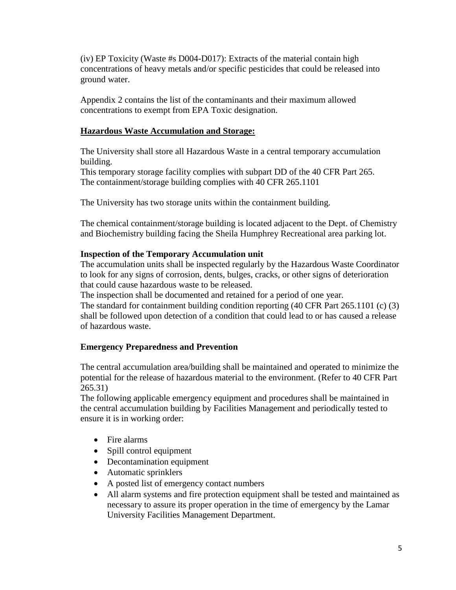(iv) EP Toxicity (Waste #s D004-D017): Extracts of the material contain high concentrations of heavy metals and/or specific pesticides that could be released into ground water.

Appendix 2 contains the list of the contaminants and their maximum allowed concentrations to exempt from EPA Toxic designation.

#### **Hazardous Waste Accumulation and Storage:**

The University shall store all Hazardous Waste in a central temporary accumulation building.

This temporary storage facility complies with subpart DD of the 40 CFR Part 265. The containment/storage building complies with 40 CFR 265.1101

The University has two storage units within the containment building.

The chemical containment/storage building is located adjacent to the Dept. of Chemistry and Biochemistry building facing the Sheila Humphrey Recreational area parking lot.

#### **Inspection of the Temporary Accumulation unit**

The accumulation units shall be inspected regularly by the Hazardous Waste Coordinator to look for any signs of corrosion, dents, bulges, cracks, or other signs of deterioration that could cause hazardous waste to be released.

The inspection shall be documented and retained for a period of one year.

The standard for containment building condition reporting (40 CFR Part 265.1101 (c) (3) shall be followed upon detection of a condition that could lead to or has caused a release of hazardous waste.

#### **Emergency Preparedness and Prevention**

The central accumulation area/building shall be maintained and operated to minimize the potential for the release of hazardous material to the environment. (Refer to 40 CFR Part 265.31)

The following applicable emergency equipment and procedures shall be maintained in the central accumulation building by Facilities Management and periodically tested to ensure it is in working order:

- Fire alarms
- Spill control equipment
- Decontamination equipment
- Automatic sprinklers
- A posted list of emergency contact numbers
- All alarm systems and fire protection equipment shall be tested and maintained as necessary to assure its proper operation in the time of emergency by the Lamar University Facilities Management Department.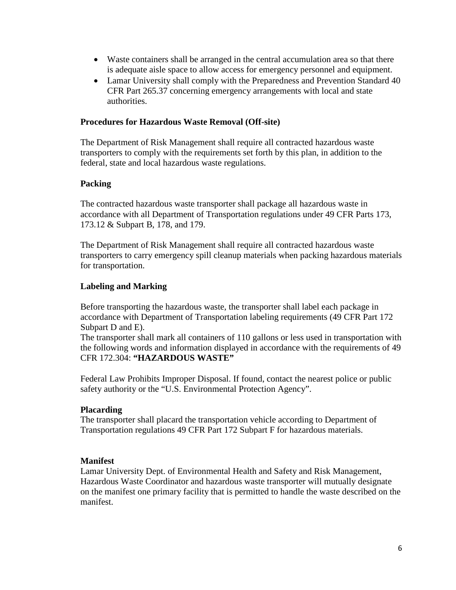- Waste containers shall be arranged in the central accumulation area so that there is adequate aisle space to allow access for emergency personnel and equipment.
- Lamar University shall comply with the Preparedness and Prevention Standard 40 CFR Part 265.37 concerning emergency arrangements with local and state authorities.

#### **Procedures for Hazardous Waste Removal (Off-site)**

The Department of Risk Management shall require all contracted hazardous waste transporters to comply with the requirements set forth by this plan, in addition to the federal, state and local hazardous waste regulations.

#### **Packing**

The contracted hazardous waste transporter shall package all hazardous waste in accordance with all Department of Transportation regulations under 49 CFR Parts 173, 173.12 & Subpart B, 178, and 179.

The Department of Risk Management shall require all contracted hazardous waste transporters to carry emergency spill cleanup materials when packing hazardous materials for transportation.

#### **Labeling and Marking**

Before transporting the hazardous waste, the transporter shall label each package in accordance with Department of Transportation labeling requirements (49 CFR Part 172 Subpart D and E).

The transporter shall mark all containers of 110 gallons or less used in transportation with the following words and information displayed in accordance with the requirements of 49 CFR 172.304: **"HAZARDOUS WASTE"**

Federal Law Prohibits Improper Disposal. If found, contact the nearest police or public safety authority or the "U.S. Environmental Protection Agency".

#### **Placarding**

The transporter shall placard the transportation vehicle according to Department of Transportation regulations 49 CFR Part 172 Subpart F for hazardous materials.

#### **Manifest**

Lamar University Dept. of Environmental Health and Safety and Risk Management, Hazardous Waste Coordinator and hazardous waste transporter will mutually designate on the manifest one primary facility that is permitted to handle the waste described on the manifest.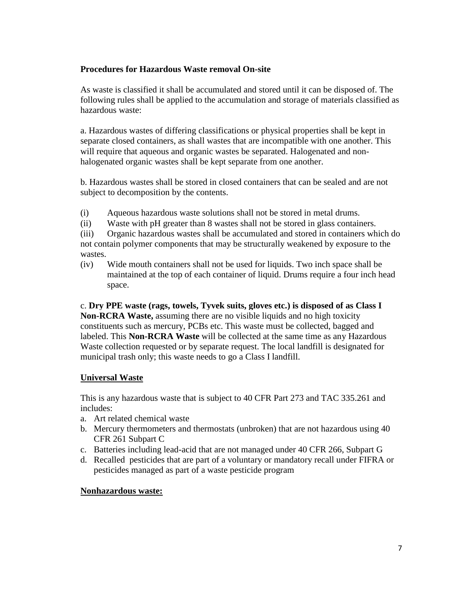#### **Procedures for Hazardous Waste removal On-site**

As waste is classified it shall be accumulated and stored until it can be disposed of. The following rules shall be applied to the accumulation and storage of materials classified as hazardous waste:

a. Hazardous wastes of differing classifications or physical properties shall be kept in separate closed containers, as shall wastes that are incompatible with one another. This will require that aqueous and organic wastes be separated. Halogenated and nonhalogenated organic wastes shall be kept separate from one another.

b. Hazardous wastes shall be stored in closed containers that can be sealed and are not subject to decomposition by the contents.

- (i) Aqueous hazardous waste solutions shall not be stored in metal drums.
- (ii) Waste with pH greater than 8 wastes shall not be stored in glass containers.

(iii) Organic hazardous wastes shall be accumulated and stored in containers which do not contain polymer components that may be structurally weakened by exposure to the wastes.

(iv) Wide mouth containers shall not be used for liquids. Two inch space shall be maintained at the top of each container of liquid. Drums require a four inch head space.

c. **Dry PPE waste (rags, towels, Tyvek suits, gloves etc.) is disposed of as Class I Non-RCRA Waste,** assuming there are no visible liquids and no high toxicity constituents such as mercury, PCBs etc. This waste must be collected, bagged and labeled. This **Non-RCRA Waste** will be collected at the same time as any Hazardous Waste collection requested or by separate request. The local landfill is designated for municipal trash only; this waste needs to go a Class I landfill.

#### **Universal Waste**

This is any hazardous waste that is subject to 40 CFR Part 273 and TAC 335.261 and includes:

- a. Art related chemical waste
- b. Mercury thermometers and thermostats (unbroken) that are not hazardous using 40 CFR 261 Subpart C
- c. Batteries including lead-acid that are not managed under 40 CFR 266, Subpart G
- d. Recalled pesticides that are part of a voluntary or mandatory recall under FIFRA or pesticides managed as part of a waste pesticide program

#### **Nonhazardous waste:**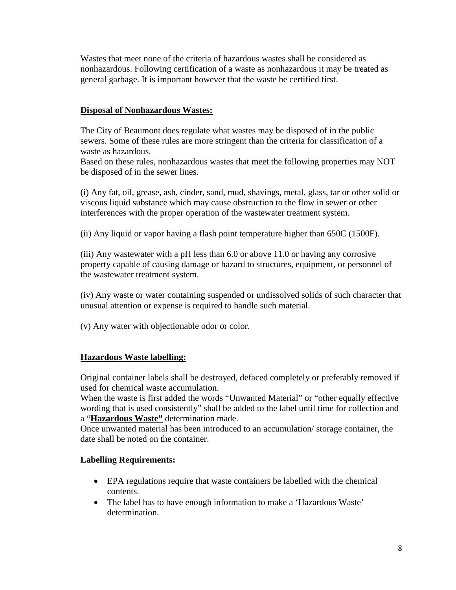Wastes that meet none of the criteria of hazardous wastes shall be considered as nonhazardous. Following certification of a waste as nonhazardous it may be treated as general garbage. It is important however that the waste be certified first.

#### **Disposal of Nonhazardous Wastes:**

The City of Beaumont does regulate what wastes may be disposed of in the public sewers. Some of these rules are more stringent than the criteria for classification of a waste as hazardous.

Based on these rules, nonhazardous wastes that meet the following properties may NOT be disposed of in the sewer lines.

(i) Any fat, oil, grease, ash, cinder, sand, mud, shavings, metal, glass, tar or other solid or viscous liquid substance which may cause obstruction to the flow in sewer or other interferences with the proper operation of the wastewater treatment system.

(ii) Any liquid or vapor having a flash point temperature higher than 650C (1500F).

(iii) Any wastewater with a pH less than 6.0 or above 11.0 or having any corrosive property capable of causing damage or hazard to structures, equipment, or personnel of the wastewater treatment system.

(iv) Any waste or water containing suspended or undissolved solids of such character that unusual attention or expense is required to handle such material.

(v) Any water with objectionable odor or color.

#### **Hazardous Waste labelling:**

Original container labels shall be destroyed, defaced completely or preferably removed if used for chemical waste accumulation.

When the waste is first added the words "Unwanted Material" or "other equally effective wording that is used consistently" shall be added to the label until time for collection and a "**Hazardous Waste"** determination made.

Once unwanted material has been introduced to an accumulation/ storage container, the date shall be noted on the container.

#### **Labelling Requirements:**

- EPA regulations require that waste containers be labelled with the chemical contents.
- The label has to have enough information to make a 'Hazardous Waste' determination.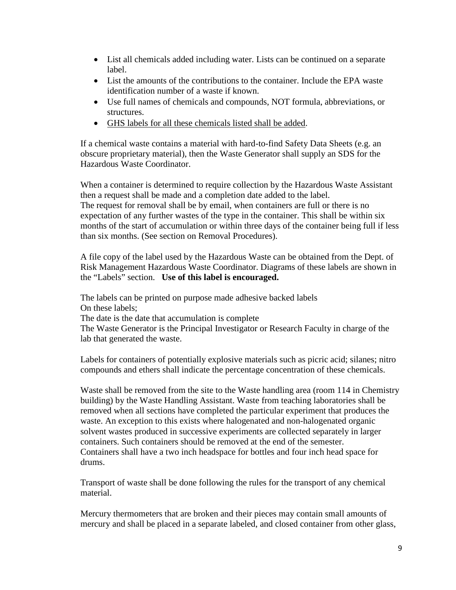- List all chemicals added including water. Lists can be continued on a separate label.
- List the amounts of the contributions to the container. Include the EPA waste identification number of a waste if known.
- Use full names of chemicals and compounds, NOT formula, abbreviations, or structures.
- GHS labels for all these chemicals listed shall be added.

If a chemical waste contains a material with hard-to-find Safety Data Sheets (e.g. an obscure proprietary material), then the Waste Generator shall supply an SDS for the Hazardous Waste Coordinator.

When a container is determined to require collection by the Hazardous Waste Assistant then a request shall be made and a completion date added to the label. The request for removal shall be by email, when containers are full or there is no expectation of any further wastes of the type in the container. This shall be within six months of the start of accumulation or within three days of the container being full if less than six months. (See section on Removal Procedures).

A file copy of the label used by the Hazardous Waste can be obtained from the Dept. of Risk Management Hazardous Waste Coordinator. Diagrams of these labels are shown in the "Labels" section. **Use of this label is encouraged.**

The labels can be printed on purpose made adhesive backed labels On these labels;

The date is the date that accumulation is complete

The Waste Generator is the Principal Investigator or Research Faculty in charge of the lab that generated the waste.

Labels for containers of potentially explosive materials such as picric acid; silanes; nitro compounds and ethers shall indicate the percentage concentration of these chemicals.

Waste shall be removed from the site to the Waste handling area (room 114 in Chemistry building) by the Waste Handling Assistant. Waste from teaching laboratories shall be removed when all sections have completed the particular experiment that produces the waste. An exception to this exists where halogenated and non-halogenated organic solvent wastes produced in successive experiments are collected separately in larger containers. Such containers should be removed at the end of the semester. Containers shall have a two inch headspace for bottles and four inch head space for drums.

Transport of waste shall be done following the rules for the transport of any chemical material.

Mercury thermometers that are broken and their pieces may contain small amounts of mercury and shall be placed in a separate labeled, and closed container from other glass,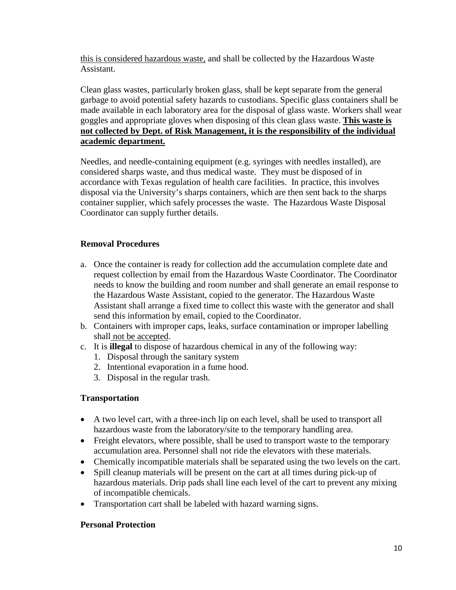this is considered hazardous waste, and shall be collected by the Hazardous Waste Assistant.

Clean glass wastes, particularly broken glass, shall be kept separate from the general garbage to avoid potential safety hazards to custodians. Specific glass containers shall be made available in each laboratory area for the disposal of glass waste. Workers shall wear goggles and appropriate gloves when disposing of this clean glass waste. **This waste is not collected by Dept. of Risk Management, it is the responsibility of the individual academic department.**

Needles, and needle-containing equipment (e.g. syringes with needles installed), are considered sharps waste, and thus medical waste. They must be disposed of in accordance with Texas regulation of health care facilities. In practice, this involves disposal via the University's sharps containers, which are then sent back to the sharps container supplier, which safely processes the waste. The Hazardous Waste Disposal Coordinator can supply further details.

#### **Removal Procedures**

- a. Once the container is ready for collection add the accumulation complete date and request collection by email from the Hazardous Waste Coordinator. The Coordinator needs to know the building and room number and shall generate an email response to the Hazardous Waste Assistant, copied to the generator. The Hazardous Waste Assistant shall arrange a fixed time to collect this waste with the generator and shall send this information by email, copied to the Coordinator.
- b. Containers with improper caps, leaks, surface contamination or improper labelling shall not be accepted.
- c. It is **illegal** to dispose of hazardous chemical in any of the following way:
	- 1. Disposal through the sanitary system
	- 2. Intentional evaporation in a fume hood.
	- 3. Disposal in the regular trash.

#### **Transportation**

- A two level cart, with a three-inch lip on each level, shall be used to transport all hazardous waste from the laboratory/site to the temporary handling area.
- Freight elevators, where possible, shall be used to transport waste to the temporary accumulation area. Personnel shall not ride the elevators with these materials.
- Chemically incompatible materials shall be separated using the two levels on the cart.
- Spill cleanup materials will be present on the cart at all times during pick-up of hazardous materials. Drip pads shall line each level of the cart to prevent any mixing of incompatible chemicals.
- Transportation cart shall be labeled with hazard warning signs.

#### **Personal Protection**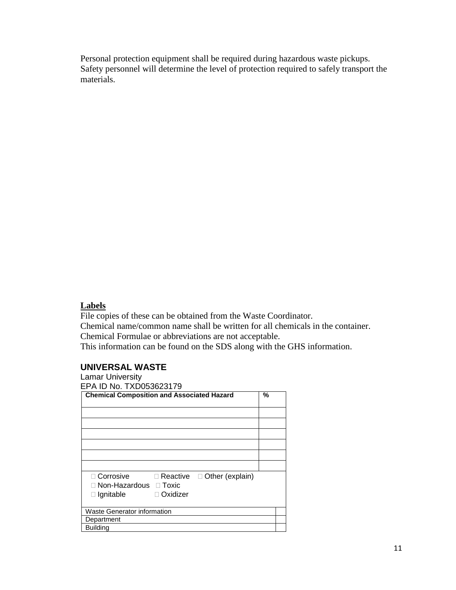Personal protection equipment shall be required during hazardous waste pickups. Safety personnel will determine the level of protection required to safely transport the materials.

#### **Labels**

File copies of these can be obtained from the Waste Coordinator. Chemical name/common name shall be written for all chemicals in the container. Chemical Formulae or abbreviations are not acceptable. This information can be found on the SDS along with the GHS information.

#### **UNIVERSAL WASTE**

| <b>Lamar University</b><br>EPA ID No. TXD053623179 |                                        |   |
|----------------------------------------------------|----------------------------------------|---|
| <b>Chemical Composition and Associated Hazard</b>  |                                        | % |
|                                                    |                                        |   |
|                                                    |                                        |   |
|                                                    |                                        |   |
|                                                    |                                        |   |
|                                                    |                                        |   |
| $\Box$ Corrosive                                   | $\Box$ Reactive $\Box$ Other (explain) |   |
| ⊟ Non-Hazardous   ⊟ Toxic                          |                                        |   |
| $\Box$ Ignitable                                   | $\Box$ Oxidizer                        |   |
| Waste Generator information                        |                                        |   |
| Department                                         |                                        |   |
| <b>Building</b>                                    |                                        |   |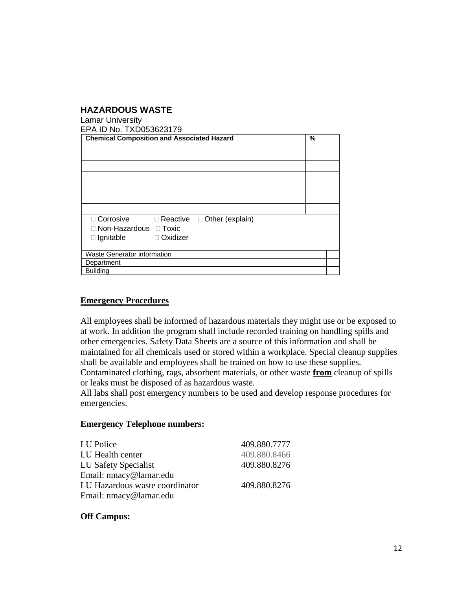#### **HAZARDOUS WASTE**

Lamar University

| EPA ID No. TXD053623179 |  |
|-------------------------|--|
|-------------------------|--|

| <b>Chemical Composition and Associated Hazard</b>            |  |
|--------------------------------------------------------------|--|
|                                                              |  |
|                                                              |  |
|                                                              |  |
|                                                              |  |
|                                                              |  |
|                                                              |  |
| $\sqcap$ Corrosive<br>$\Box$ Reactive $\Box$ Other (explain) |  |
| □ Non-Hazardous □ Toxic                                      |  |
| □ Oxidizer<br>□ Ignitable                                    |  |
|                                                              |  |
| Waste Generator information                                  |  |
| Department                                                   |  |
| <b>Building</b>                                              |  |

#### **Emergency Procedures**

All employees shall be informed of hazardous materials they might use or be exposed to at work. In addition the program shall include recorded training on handling spills and other emergencies. Safety Data Sheets are a source of this information and shall be maintained for all chemicals used or stored within a workplace. Special cleanup supplies shall be available and employees shall be trained on how to use these supplies. Contaminated clothing, rags, absorbent materials, or other waste **from** cleanup of spills or leaks must be disposed of as hazardous waste.

All labs shall post emergency numbers to be used and develop response procedures for emergencies.

#### **Emergency Telephone numbers:**

| LU Police                      | 409.880.7777 |
|--------------------------------|--------------|
| LU Health center               | 409.880.8466 |
| LU Safety Specialist           | 409.880.8276 |
| Email: nmacy@lamar.edu         |              |
| LU Hazardous waste coordinator | 409.880.8276 |
| Email: nmacy@lamar.edu         |              |

#### **Off Campus:**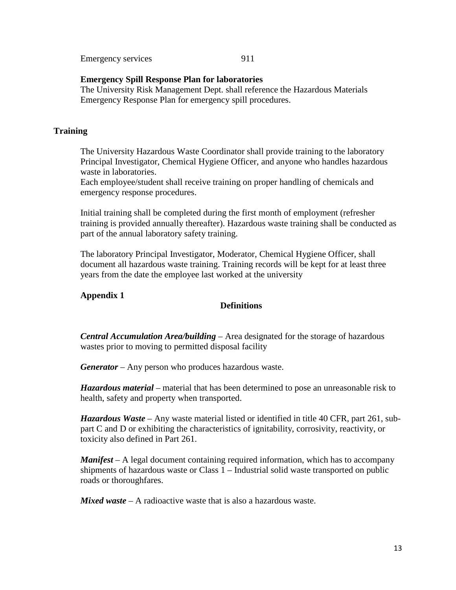Emergency services 911

#### **Emergency Spill Response Plan for laboratories**

The University Risk Management Dept. shall reference the Hazardous Materials Emergency Response Plan for emergency spill procedures.

#### **Training**

The University Hazardous Waste Coordinator shall provide training to the laboratory Principal Investigator, Chemical Hygiene Officer, and anyone who handles hazardous waste in laboratories.

Each employee/student shall receive training on proper handling of chemicals and emergency response procedures.

Initial training shall be completed during the first month of employment (refresher training is provided annually thereafter). Hazardous waste training shall be conducted as part of the annual laboratory safety training.

The laboratory Principal Investigator, Moderator, Chemical Hygiene Officer, shall document all hazardous waste training. Training records will be kept for at least three years from the date the employee last worked at the university

#### **Appendix 1**

#### **Definitions**

*Central Accumulation Area/building* – Area designated for the storage of hazardous wastes prior to moving to permitted disposal facility

*Generator* – Any person who produces hazardous waste.

*Hazardous material* – material that has been determined to pose an unreasonable risk to health, safety and property when transported.

*Hazardous Waste* – Any waste material listed or identified in title 40 CFR, part 261, subpart C and D or exhibiting the characteristics of ignitability, corrosivity, reactivity, or toxicity also defined in Part 261.

*Manifest* – A legal document containing required information, which has to accompany shipments of hazardous waste or Class 1 – Industrial solid waste transported on public roads or thoroughfares.

*Mixed waste* – A radioactive waste that is also a hazardous waste.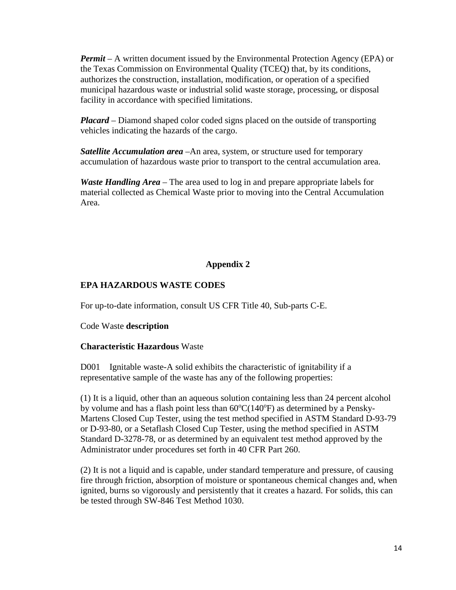*Permit* – A written document issued by the Environmental Protection Agency (EPA) or the Texas Commission on Environmental Quality (TCEQ) that, by its conditions, authorizes the construction, installation, modification, or operation of a specified municipal hazardous waste or industrial solid waste storage, processing, or disposal facility in accordance with specified limitations.

*Placard* – Diamond shaped color coded signs placed on the outside of transporting vehicles indicating the hazards of the cargo.

*Satellite Accumulation area* –An area, system, or structure used for temporary accumulation of hazardous waste prior to transport to the central accumulation area.

*Waste Handling Area* – The area used to log in and prepare appropriate labels for material collected as Chemical Waste prior to moving into the Central Accumulation Area.

#### **Appendix 2**

#### **EPA HAZARDOUS WASTE CODES**

For up-to-date information, consult US CFR Title 40, Sub-parts C-E.

#### Code Waste **description**

#### **Characteristic Hazardous** Waste

D001 Ignitable waste-A solid exhibits the characteristic of ignitability if a representative sample of the waste has any of the following properties:

(1) It is a liquid, other than an aqueous solution containing less than 24 percent alcohol by volume and has a flash point less than  $60^{\circ}C(140^{\circ}F)$  as determined by a Pensky-Martens Closed Cup Tester, using the test method specified in ASTM Standard D-93-79 or D-93-80, or a Setaflash Closed Cup Tester, using the method specified in ASTM Standard D-3278-78, or as determined by an equivalent test method approved by the Administrator under procedures set forth in 40 CFR Part 260.

(2) It is not a liquid and is capable, under standard temperature and pressure, of causing fire through friction, absorption of moisture or spontaneous chemical changes and, when ignited, burns so vigorously and persistently that it creates a hazard. For solids, this can be tested through SW-846 Test Method 1030.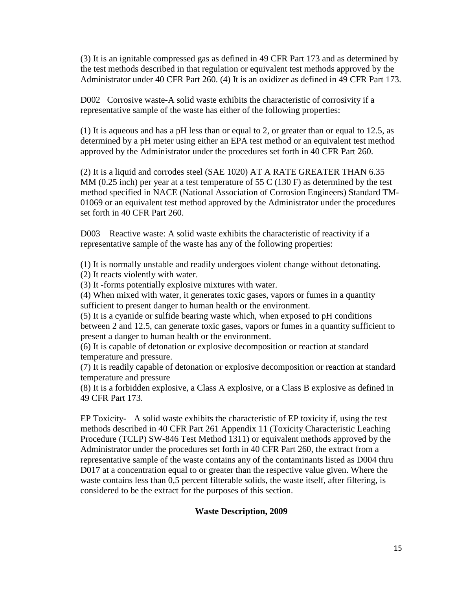(3) It is an ignitable compressed gas as defined in 49 CFR Part 173 and as determined by the test methods described in that regulation or equivalent test methods approved by the Administrator under 40 CFR Part 260. (4) It is an oxidizer as defined in 49 CFR Part 173.

D002 Corrosive waste-A solid waste exhibits the characteristic of corrosivity if a representative sample of the waste has either of the following properties:

(1) It is aqueous and has a pH less than or equal to 2, or greater than or equal to 12.5, as determined by a pH meter using either an EPA test method or an equivalent test method approved by the Administrator under the procedures set forth in 40 CFR Part 260.

(2) It is a liquid and corrodes steel (SAE 1020) AT A RATE GREATER THAN 6.35 MM (0.25 inch) per year at a test temperature of 55 C (130 F) as determined by the test method specified in NACE (National Association of Corrosion Engineers) Standard TM-01069 or an equivalent test method approved by the Administrator under the procedures set forth in 40 CFR Part 260.

D003 Reactive waste: A solid waste exhibits the characteristic of reactivity if a representative sample of the waste has any of the following properties:

(1) It is normally unstable and readily undergoes violent change without detonating.

(2) It reacts violently with water.

(3) It -forms potentially explosive mixtures with water.

(4) When mixed with water, it generates toxic gases, vapors or fumes in a quantity sufficient to present danger to human health or the environment.

(5) It is a cyanide or sulfide bearing waste which, when exposed to pH conditions between 2 and 12.5, can generate toxic gases, vapors or fumes in a quantity sufficient to present a danger to human health or the environment.

(6) It is capable of detonation or explosive decomposition or reaction at standard temperature and pressure.

(7) It is readily capable of detonation or explosive decomposition or reaction at standard temperature and pressure

(8) It is a forbidden explosive, a Class A explosive, or a Class B explosive as defined in 49 CFR Part 173.

EP Toxicity- A solid waste exhibits the characteristic of EP toxicity if, using the test methods described in 40 CFR Part 261 Appendix 11 (Toxicity Characteristic Leaching Procedure (TCLP) SW-846 Test Method 1311) or equivalent methods approved by the Administrator under the procedures set forth in 40 CFR Part 260, the extract from a representative sample of the waste contains any of the contaminants listed as D004 thru D017 at a concentration equal to or greater than the respective value given. Where the waste contains less than 0,5 percent filterable solids, the waste itself, after filtering, is considered to be the extract for the purposes of this section.

#### **Waste Description, 2009**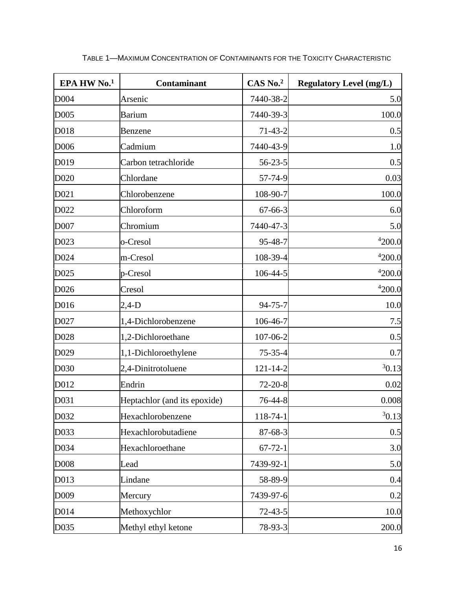| EPA HW No. <sup>1</sup> | <b>Contaminant</b>           | $CAS$ No. $2$  | <b>Regulatory Level (mg/L)</b> |
|-------------------------|------------------------------|----------------|--------------------------------|
| D004                    | Arsenic                      | 7440-38-2      | 5.0                            |
| D005                    | <b>Barium</b>                | 7440-39-3      | 100.0                          |
| D018                    | Benzene                      | $71-43-2$      | 0.5                            |
| D006                    | Cadmium                      | 7440-43-9      | 1.0                            |
| D019                    | Carbon tetrachloride         | $56 - 23 - 5$  | 0.5                            |
| D020                    | Chlordane                    | 57-74-9        | 0.03                           |
| D021                    | Chlorobenzene                | 108-90-7       | 100.0                          |
| D022                    | Chloroform                   | $67 - 66 - 3$  | 6.0                            |
| D007                    | Chromium                     | 7440-47-3      | 5.0                            |
| D023                    | o-Cresol                     | 95-48-7        | 4200.0                         |
| D024                    | m-Cresol                     | 108-39-4       | 4200.0                         |
| D025                    | p-Cresol                     | 106-44-5       | 4200.0                         |
| D026                    | Cresol                       |                | 4200.0                         |
| D016                    | $2,4-D$                      | $94 - 75 - 7$  | 10.0                           |
| D027                    | 1,4-Dichlorobenzene          | 106-46-7       | 7.5                            |
| D028                    | 1,2-Dichloroethane           | 107-06-2       | 0.5                            |
| D029                    | 1,1-Dichloroethylene         | $75 - 35 - 4$  | 0.7                            |
| D030                    | 2,4-Dinitrotoluene           | $121 - 14 - 2$ | 30.13                          |
| D012                    | Endrin                       | $72 - 20 - 8$  | 0.02                           |
| D031                    | Heptachlor (and its epoxide) | 76-44-8        | 0.008                          |
| D032                    | Hexachlorobenzene            | 118-74-1       | 30.13                          |
| D033                    | Hexachlorobutadiene          | 87-68-3        | 0.5                            |
| D034                    | Hexachloroethane             | $67 - 72 - 1$  | 3.0                            |
| D008                    | Lead                         | 7439-92-1      | 5.0                            |
| D013                    | Lindane                      | 58-89-9        | 0.4                            |
| D009                    | Mercury                      | 7439-97-6      | 0.2                            |
| D014                    | Methoxychlor                 | $72 - 43 - 5$  | 10.0                           |
| D035                    | Methyl ethyl ketone          | 78-93-3        | 200.0                          |

TABLE 1—MAXIMUM CONCENTRATION OF CONTAMINANTS FOR THE TOXICITY CHARACTERISTIC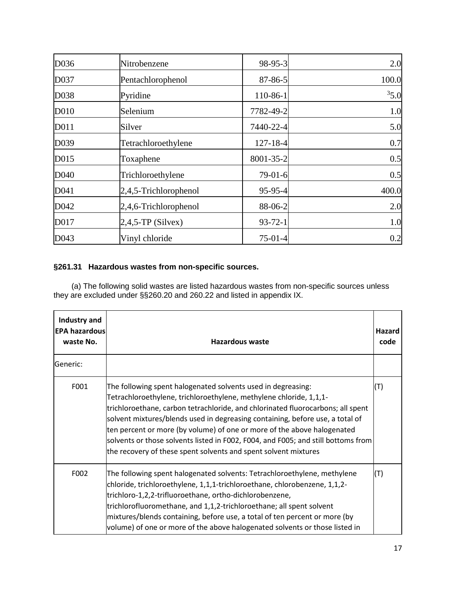| D036 | Nitrobenzene             | 98-95-3        | 2.0   |
|------|--------------------------|----------------|-------|
| D037 | Pentachlorophenol        | $87 - 86 - 5$  | 100.0 |
| D038 | Pyridine                 | 110-86-1       | 35.0  |
| D010 | Selenium                 | 7782-49-2      | 1.0   |
| D011 | Silver                   | 7440-22-4      | 5.0   |
| D039 | Tetrachloroethylene      | $127 - 18 - 4$ | 0.7   |
| D015 | Toxaphene                | 8001-35-2      | 0.5   |
| D040 | Trichloroethylene        | $79-01-6$      | 0.5   |
| D041 | $2,4,5$ -Trichlorophenol | $95 - 95 - 4$  | 400.0 |
| D042 | 2,4,6-Trichlorophenol    | 88-06-2        | 2.0   |
| D017 | $2,4,5$ -TP (Silvex)     | $93 - 72 - 1$  | 1.0   |
| D043 | Vinyl chloride           | $75-01-4$      | 0.2   |

#### **§261.31 Hazardous wastes from non-specific sources.**

(a) The following solid wastes are listed hazardous wastes from non-specific sources unless they are excluded under §§260.20 and 260.22 and listed in appendix IX.

| Industry and<br><b>EPA hazardous</b><br>waste No. | <b>Hazardous waste</b>                                                                                                                                                                                                                                                                                                                                                                                                                                                                                                                    | Hazard<br>code |
|---------------------------------------------------|-------------------------------------------------------------------------------------------------------------------------------------------------------------------------------------------------------------------------------------------------------------------------------------------------------------------------------------------------------------------------------------------------------------------------------------------------------------------------------------------------------------------------------------------|----------------|
| Generic:                                          |                                                                                                                                                                                                                                                                                                                                                                                                                                                                                                                                           |                |
| F001                                              | The following spent halogenated solvents used in degreasing:<br>Tetrachloroethylene, trichloroethylene, methylene chloride, 1,1,1-<br>trichloroethane, carbon tetrachloride, and chlorinated fluorocarbons; all spent<br>solvent mixtures/blends used in degreasing containing, before use, a total of<br>ten percent or more (by volume) of one or more of the above halogenated<br>solvents or those solvents listed in F002, F004, and F005; and still bottoms from<br>the recovery of these spent solvents and spent solvent mixtures | (T)            |
| F002                                              | The following spent halogenated solvents: Tetrachloroethylene, methylene<br>chloride, trichloroethylene, 1,1,1-trichloroethane, chlorobenzene, 1,1,2-<br>trichloro-1,2,2-trifluoroethane, ortho-dichlorobenzene,<br>trichlorofluoromethane, and 1,1,2-trichloroethane; all spent solvent<br>mixtures/blends containing, before use, a total of ten percent or more (by<br>volume) of one or more of the above halogenated solvents or those listed in                                                                                     | (T)            |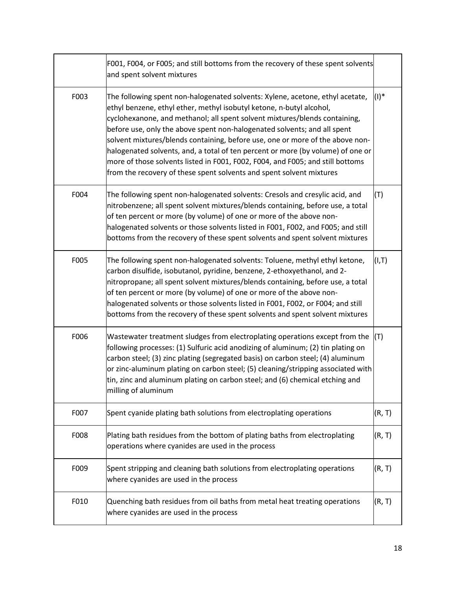|      | F001, F004, or F005; and still bottoms from the recovery of these spent solvents<br>and spent solvent mixtures                                                                                                                                                                                                                                                                                                                                                                                                                                                                                                                                |         |
|------|-----------------------------------------------------------------------------------------------------------------------------------------------------------------------------------------------------------------------------------------------------------------------------------------------------------------------------------------------------------------------------------------------------------------------------------------------------------------------------------------------------------------------------------------------------------------------------------------------------------------------------------------------|---------|
| F003 | The following spent non-halogenated solvents: Xylene, acetone, ethyl acetate,<br>ethyl benzene, ethyl ether, methyl isobutyl ketone, n-butyl alcohol,<br>cyclohexanone, and methanol; all spent solvent mixtures/blends containing,<br>before use, only the above spent non-halogenated solvents; and all spent<br>solvent mixtures/blends containing, before use, one or more of the above non-<br>halogenated solvents, and, a total of ten percent or more (by volume) of one or<br>more of those solvents listed in F001, F002, F004, and F005; and still bottoms<br>from the recovery of these spent solvents and spent solvent mixtures | $(1)^*$ |
| F004 | The following spent non-halogenated solvents: Cresols and cresylic acid, and<br>nitrobenzene; all spent solvent mixtures/blends containing, before use, a total<br>of ten percent or more (by volume) of one or more of the above non-<br>halogenated solvents or those solvents listed in F001, F002, and F005; and still<br>bottoms from the recovery of these spent solvents and spent solvent mixtures                                                                                                                                                                                                                                    | (T)     |
| F005 | The following spent non-halogenated solvents: Toluene, methyl ethyl ketone,<br>carbon disulfide, isobutanol, pyridine, benzene, 2-ethoxyethanol, and 2-<br>nitropropane; all spent solvent mixtures/blends containing, before use, a total<br>of ten percent or more (by volume) of one or more of the above non-<br>halogenated solvents or those solvents listed in F001, F002, or F004; and still<br>bottoms from the recovery of these spent solvents and spent solvent mixtures                                                                                                                                                          | (I,T)   |
| F006 | Wastewater treatment sludges from electroplating operations except from the<br>following processes: (1) Sulfuric acid anodizing of aluminum; (2) tin plating on<br>carbon steel; (3) zinc plating (segregated basis) on carbon steel; (4) aluminum<br>or zinc-aluminum plating on carbon steel; (5) cleaning/stripping associated with<br>tin, zinc and aluminum plating on carbon steel; and (6) chemical etching and<br>milling of aluminum                                                                                                                                                                                                 | (T)     |
| F007 | Spent cyanide plating bath solutions from electroplating operations                                                                                                                                                                                                                                                                                                                                                                                                                                                                                                                                                                           | (R, T)  |
| F008 | Plating bath residues from the bottom of plating baths from electroplating<br>operations where cyanides are used in the process                                                                                                                                                                                                                                                                                                                                                                                                                                                                                                               | (R, T)  |
| F009 | Spent stripping and cleaning bath solutions from electroplating operations<br>where cyanides are used in the process                                                                                                                                                                                                                                                                                                                                                                                                                                                                                                                          | (R, T)  |
| F010 | Quenching bath residues from oil baths from metal heat treating operations<br>where cyanides are used in the process                                                                                                                                                                                                                                                                                                                                                                                                                                                                                                                          | (R, T)  |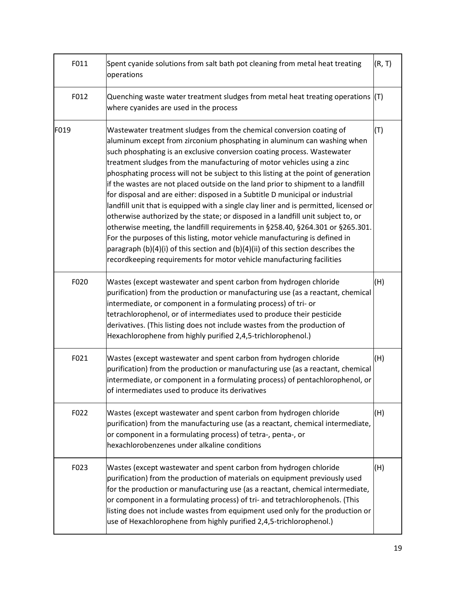| F011 | Spent cyanide solutions from salt bath pot cleaning from metal heat treating<br>operations                                                                                                                                                                                                                                                                                                                                                                                                                                                                                                                                                                                                                                                                                                                                                                                                                                                                                                                                                                                  | (R, T) |
|------|-----------------------------------------------------------------------------------------------------------------------------------------------------------------------------------------------------------------------------------------------------------------------------------------------------------------------------------------------------------------------------------------------------------------------------------------------------------------------------------------------------------------------------------------------------------------------------------------------------------------------------------------------------------------------------------------------------------------------------------------------------------------------------------------------------------------------------------------------------------------------------------------------------------------------------------------------------------------------------------------------------------------------------------------------------------------------------|--------|
| F012 | Quenching waste water treatment sludges from metal heat treating operations (T)<br>where cyanides are used in the process                                                                                                                                                                                                                                                                                                                                                                                                                                                                                                                                                                                                                                                                                                                                                                                                                                                                                                                                                   |        |
| F019 | Wastewater treatment sludges from the chemical conversion coating of<br>aluminum except from zirconium phosphating in aluminum can washing when<br>such phosphating is an exclusive conversion coating process. Wastewater<br>treatment sludges from the manufacturing of motor vehicles using a zinc<br>phosphating process will not be subject to this listing at the point of generation<br>if the wastes are not placed outside on the land prior to shipment to a landfill<br>for disposal and are either: disposed in a Subtitle D municipal or industrial<br>landfill unit that is equipped with a single clay liner and is permitted, licensed or<br>otherwise authorized by the state; or disposed in a landfill unit subject to, or<br>otherwise meeting, the landfill requirements in §258.40, §264.301 or §265.301.<br>For the purposes of this listing, motor vehicle manufacturing is defined in<br>paragraph (b)(4)(i) of this section and (b)(4)(ii) of this section describes the<br>recordkeeping requirements for motor vehicle manufacturing facilities | (T)    |
| F020 | Wastes (except wastewater and spent carbon from hydrogen chloride<br>purification) from the production or manufacturing use (as a reactant, chemical<br>intermediate, or component in a formulating process) of tri- or<br>tetrachlorophenol, or of intermediates used to produce their pesticide<br>derivatives. (This listing does not include wastes from the production of<br>Hexachlorophene from highly purified 2,4,5-trichlorophenol.)                                                                                                                                                                                                                                                                                                                                                                                                                                                                                                                                                                                                                              | (H)    |
| F021 | Wastes (except wastewater and spent carbon from hydrogen chloride<br>purification) from the production or manufacturing use (as a reactant, chemical<br>intermediate, or component in a formulating process) of pentachlorophenol, or<br>of intermediates used to produce its derivatives                                                                                                                                                                                                                                                                                                                                                                                                                                                                                                                                                                                                                                                                                                                                                                                   | (H)    |
| F022 | Wastes (except wastewater and spent carbon from hydrogen chloride<br>purification) from the manufacturing use (as a reactant, chemical intermediate,<br>or component in a formulating process) of tetra-, penta-, or<br>hexachlorobenzenes under alkaline conditions                                                                                                                                                                                                                                                                                                                                                                                                                                                                                                                                                                                                                                                                                                                                                                                                        | (H)    |
| F023 | Wastes (except wastewater and spent carbon from hydrogen chloride<br>purification) from the production of materials on equipment previously used<br>for the production or manufacturing use (as a reactant, chemical intermediate,<br>or component in a formulating process) of tri- and tetrachlorophenols. (This<br>listing does not include wastes from equipment used only for the production or<br>use of Hexachlorophene from highly purified 2,4,5-trichlorophenol.)                                                                                                                                                                                                                                                                                                                                                                                                                                                                                                                                                                                                 | (H)    |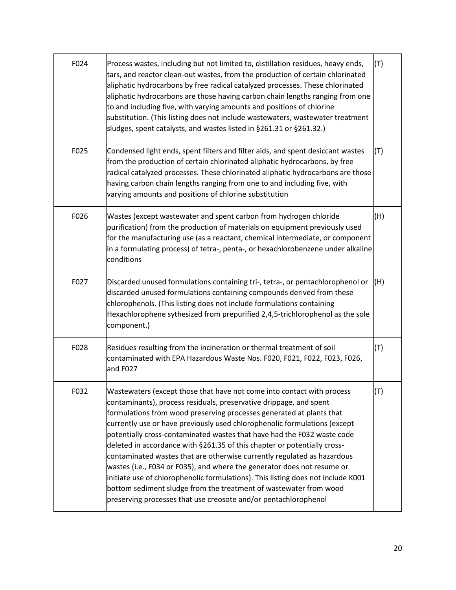| F024 | Process wastes, including but not limited to, distillation residues, heavy ends,<br>tars, and reactor clean-out wastes, from the production of certain chlorinated<br>aliphatic hydrocarbons by free radical catalyzed processes. These chlorinated<br>aliphatic hydrocarbons are those having carbon chain lengths ranging from one<br>to and including five, with varying amounts and positions of chlorine<br>substitution. (This listing does not include wastewaters, wastewater treatment<br>sludges, spent catalysts, and wastes listed in §261.31 or §261.32.)                                                                                                                                                                                                                                                                     | (T) |
|------|--------------------------------------------------------------------------------------------------------------------------------------------------------------------------------------------------------------------------------------------------------------------------------------------------------------------------------------------------------------------------------------------------------------------------------------------------------------------------------------------------------------------------------------------------------------------------------------------------------------------------------------------------------------------------------------------------------------------------------------------------------------------------------------------------------------------------------------------|-----|
| F025 | Condensed light ends, spent filters and filter aids, and spent desiccant wastes<br>from the production of certain chlorinated aliphatic hydrocarbons, by free<br>radical catalyzed processes. These chlorinated aliphatic hydrocarbons are those<br>having carbon chain lengths ranging from one to and including five, with<br>varying amounts and positions of chlorine substitution                                                                                                                                                                                                                                                                                                                                                                                                                                                     | (T) |
| F026 | Wastes (except wastewater and spent carbon from hydrogen chloride<br>purification) from the production of materials on equipment previously used<br>for the manufacturing use (as a reactant, chemical intermediate, or component<br>in a formulating process) of tetra-, penta-, or hexachlorobenzene under alkaline<br>conditions                                                                                                                                                                                                                                                                                                                                                                                                                                                                                                        | (H) |
| F027 | Discarded unused formulations containing tri-, tetra-, or pentachlorophenol or<br>discarded unused formulations containing compounds derived from these<br>chlorophenols. (This listing does not include formulations containing<br>Hexachlorophene sythesized from prepurified 2,4,5-trichlorophenol as the sole<br>component.)                                                                                                                                                                                                                                                                                                                                                                                                                                                                                                           | (H) |
| F028 | Residues resulting from the incineration or thermal treatment of soil<br>contaminated with EPA Hazardous Waste Nos. F020, F021, F022, F023, F026,<br>and F027                                                                                                                                                                                                                                                                                                                                                                                                                                                                                                                                                                                                                                                                              | (T) |
| F032 | Wastewaters (except those that have not come into contact with process<br>contaminants), process residuals, preservative drippage, and spent<br>formulations from wood preserving processes generated at plants that<br>currently use or have previously used chlorophenolic formulations (except<br>potentially cross-contaminated wastes that have had the F032 waste code<br>deleted in accordance with §261.35 of this chapter or potentially cross-<br>contaminated wastes that are otherwise currently regulated as hazardous<br>wastes (i.e., F034 or F035), and where the generator does not resume or<br>initiate use of chlorophenolic formulations). This listing does not include K001<br>bottom sediment sludge from the treatment of wastewater from wood<br>preserving processes that use creosote and/or pentachlorophenol | (T) |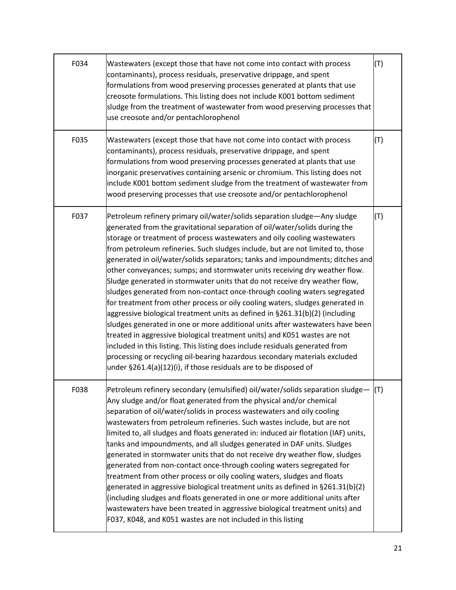| F034 | Wastewaters (except those that have not come into contact with process<br>contaminants), process residuals, preservative drippage, and spent<br>formulations from wood preserving processes generated at plants that use<br>creosote formulations. This listing does not include K001 bottom sediment<br>sludge from the treatment of wastewater from wood preserving processes that<br>use creosote and/or pentachlorophenol                                                                                                                                                                                                                                                                                                                                                                                                                                                                                                                                                                                                                                                                                                                                                                                   | (T) |
|------|-----------------------------------------------------------------------------------------------------------------------------------------------------------------------------------------------------------------------------------------------------------------------------------------------------------------------------------------------------------------------------------------------------------------------------------------------------------------------------------------------------------------------------------------------------------------------------------------------------------------------------------------------------------------------------------------------------------------------------------------------------------------------------------------------------------------------------------------------------------------------------------------------------------------------------------------------------------------------------------------------------------------------------------------------------------------------------------------------------------------------------------------------------------------------------------------------------------------|-----|
| F035 | Wastewaters (except those that have not come into contact with process<br>contaminants), process residuals, preservative drippage, and spent<br>formulations from wood preserving processes generated at plants that use<br>inorganic preservatives containing arsenic or chromium. This listing does not<br>include K001 bottom sediment sludge from the treatment of wastewater from<br>wood preserving processes that use creosote and/or pentachlorophenol                                                                                                                                                                                                                                                                                                                                                                                                                                                                                                                                                                                                                                                                                                                                                  | (T) |
| F037 | Petroleum refinery primary oil/water/solids separation sludge-Any sludge<br>generated from the gravitational separation of oil/water/solids during the<br>storage or treatment of process wastewaters and oily cooling wastewaters<br>from petroleum refineries. Such sludges include, but are not limited to, those<br>generated in oil/water/solids separators; tanks and impoundments; ditches and<br>other conveyances; sumps; and stormwater units receiving dry weather flow.<br>Sludge generated in stormwater units that do not receive dry weather flow,<br>sludges generated from non-contact once-through cooling waters segregated<br>for treatment from other process or oily cooling waters, sludges generated in<br>aggressive biological treatment units as defined in §261.31(b)(2) (including<br>sludges generated in one or more additional units after wastewaters have been<br>treated in aggressive biological treatment units) and K051 wastes are not<br>included in this listing. This listing does include residuals generated from<br>processing or recycling oil-bearing hazardous secondary materials excluded<br>under §261.4(a)(12)(i), if those residuals are to be disposed of | (T) |
| F038 | Petroleum refinery secondary (emulsified) oil/water/solids separation sludge $-$ (T)<br>Any sludge and/or float generated from the physical and/or chemical<br>separation of oil/water/solids in process wastewaters and oily cooling<br>wastewaters from petroleum refineries. Such wastes include, but are not<br>limited to, all sludges and floats generated in: induced air flotation (IAF) units,<br>tanks and impoundments, and all sludges generated in DAF units. Sludges<br>generated in stormwater units that do not receive dry weather flow, sludges<br>generated from non-contact once-through cooling waters segregated for<br>treatment from other process or oily cooling waters, sludges and floats<br>generated in aggressive biological treatment units as defined in §261.31(b)(2)<br>(including sludges and floats generated in one or more additional units after<br>wastewaters have been treated in aggressive biological treatment units) and<br>F037, K048, and K051 wastes are not included in this listing                                                                                                                                                                         |     |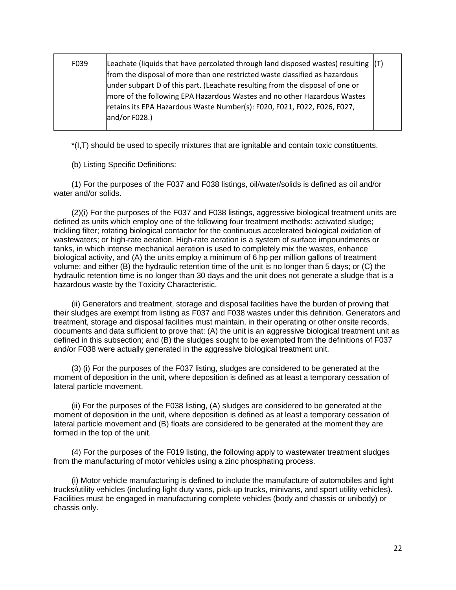| F039 | Leachate (liquids that have percolated through land disposed wastes) resulting $(1)$<br>from the disposal of more than one restricted waste classified as hazardous<br>under subpart D of this part. (Leachate resulting from the disposal of one or |  |
|------|------------------------------------------------------------------------------------------------------------------------------------------------------------------------------------------------------------------------------------------------------|--|
|      | more of the following EPA Hazardous Wastes and no other Hazardous Wastes<br>retains its EPA Hazardous Waste Number(s): F020, F021, F022, F026, F027,<br>and/or F028.)                                                                                |  |

\*(I,T) should be used to specify mixtures that are ignitable and contain toxic constituents.

(b) Listing Specific Definitions:

(1) For the purposes of the F037 and F038 listings, oil/water/solids is defined as oil and/or water and/or solids.

(2)(i) For the purposes of the F037 and F038 listings, aggressive biological treatment units are defined as units which employ one of the following four treatment methods: activated sludge; trickling filter; rotating biological contactor for the continuous accelerated biological oxidation of wastewaters; or high-rate aeration. High-rate aeration is a system of surface impoundments or tanks, in which intense mechanical aeration is used to completely mix the wastes, enhance biological activity, and (A) the units employ a minimum of 6 hp per million gallons of treatment volume; and either (B) the hydraulic retention time of the unit is no longer than 5 days; or (C) the hydraulic retention time is no longer than 30 days and the unit does not generate a sludge that is a hazardous waste by the Toxicity Characteristic.

(ii) Generators and treatment, storage and disposal facilities have the burden of proving that their sludges are exempt from listing as F037 and F038 wastes under this definition. Generators and treatment, storage and disposal facilities must maintain, in their operating or other onsite records, documents and data sufficient to prove that: (A) the unit is an aggressive biological treatment unit as defined in this subsection; and (B) the sludges sought to be exempted from the definitions of F037 and/or F038 were actually generated in the aggressive biological treatment unit.

(3) (i) For the purposes of the F037 listing, sludges are considered to be generated at the moment of deposition in the unit, where deposition is defined as at least a temporary cessation of lateral particle movement.

(ii) For the purposes of the F038 listing, (A) sludges are considered to be generated at the moment of deposition in the unit, where deposition is defined as at least a temporary cessation of lateral particle movement and (B) floats are considered to be generated at the moment they are formed in the top of the unit.

(4) For the purposes of the F019 listing, the following apply to wastewater treatment sludges from the manufacturing of motor vehicles using a zinc phosphating process.

(i) Motor vehicle manufacturing is defined to include the manufacture of automobiles and light trucks/utility vehicles (including light duty vans, pick-up trucks, minivans, and sport utility vehicles). Facilities must be engaged in manufacturing complete vehicles (body and chassis or unibody) or chassis only.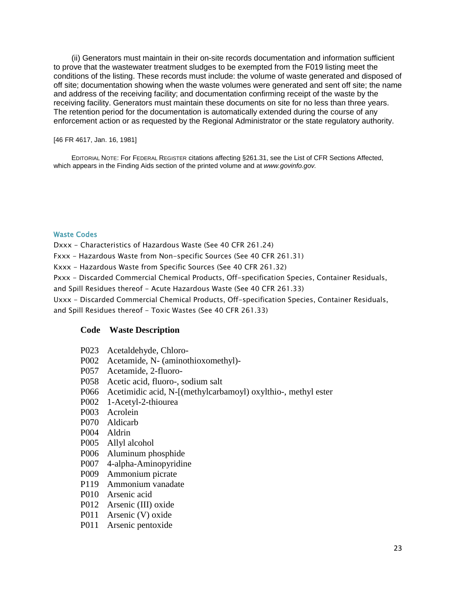(ii) Generators must maintain in their on-site records documentation and information sufficient to prove that the wastewater treatment sludges to be exempted from the F019 listing meet the conditions of the listing. These records must include: the volume of waste generated and disposed of off site; documentation showing when the waste volumes were generated and sent off site; the name and address of the receiving facility; and documentation confirming receipt of the waste by the receiving facility. Generators must maintain these documents on site for no less than three years. The retention period for the documentation is automatically extended during the course of any enforcement action or as requested by the Regional Administrator or the state regulatory authority.

#### [46 FR 4617, Jan. 16, 1981]

EDITORIAL NOTE: For FEDERAL REGISTER citations affecting §261.31, see the List of CFR Sections Affected, which appears in the Finding Aids section of the printed volume and at *www.govinfo.gov.*

#### [Waste Codes](https://rcrainfo.epa.gov/rcrainfoweb/action/modules/main/glossary/waste;jsessionid=F666500A50D509EA790351540EBFA2A4)

Dxxx - Characteristics of Hazardous Waste (See 40 CFR 261.24)

Fxxx - Hazardous Waste from Non-specific Sources (See 40 CFR 261.31)

Kxxx - Hazardous Waste from Specific Sources (See 40 CFR 261.32)

Pxxx - Discarded Commercial Chemical Products, Off-specification Species, Container Residuals,

and Spill Residues thereof - Acute Hazardous Waste (See 40 CFR 261.33)

Uxxx - Discarded Commercial Chemical Products, Off-specification Species, Container Residuals, and Spill Residues thereof - Toxic Wastes (See 40 CFR 261.33)

#### **Code Waste Description**

- P023 Acetaldehyde, Chloro-
- P002 Acetamide, N- (aminothioxomethyl)-
- P057 Acetamide, 2-fluoro-
- P058 Acetic acid, fluoro-, sodium salt
- P066 Acetimidic acid, N-[(methylcarbamoyl) oxylthio-, methyl ester
- P002 1-Acetyl-2-thiourea
- P003 Acrolein
- P070 Aldicarb
- P004 Aldrin
- P005 Allyl alcohol
- P006 Aluminum phosphide
- P007 4-alpha-Aminopyridine
- P009 Ammonium picrate
- P119 Ammonium vanadate
- P010 Arsenic acid
- P012 Arsenic (III) oxide
- P011 Arsenic (V) oxide
- P011 Arsenic pentoxide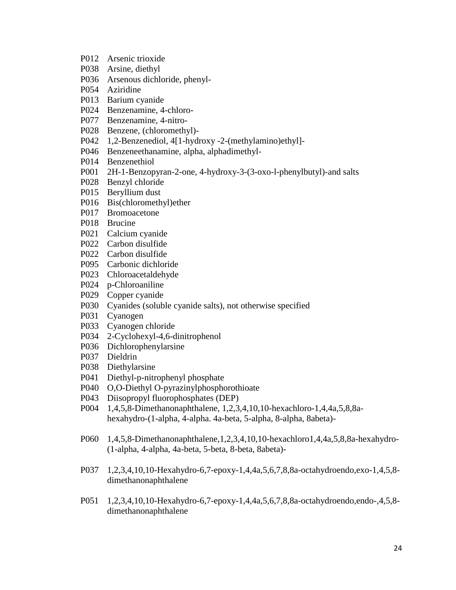- P012 Arsenic trioxide
- P038 Arsine, diethyl
- P036 Arsenous dichloride, phenyl-
- P054 Aziridine
- P013 Barium cyanide
- P024 Benzenamine, 4-chloro-
- P077 Benzenamine, 4-nitro-
- P028 Benzene, (chloromethyl)-
- P042 1,2-Benzenediol, 4[1-hydroxy -2-(methylamino)ethyl]-
- P046 Benzeneethanamine, alpha, alphadimethyl-
- P014 Benzenethiol
- P001 2H-1-Benzopyran-2-one, 4-hydroxy-3-(3-oxo-l-phenylbutyl)-and salts
- P028 Benzyl chloride
- P015 Beryllium dust
- P016 Bis(chloromethyl)ether
- P017 Bromoacetone
- P018 Brucine
- P021 Calcium cyanide
- P022 Carbon disulfide
- P022 Carbon disulfide
- P095 Carbonic dichloride
- P023 Chloroacetaldehyde
- P024 p-Chloroaniline
- P029 Copper cyanide
- P030 Cyanides (soluble cyanide salts), not otherwise specified
- P031 Cyanogen
- P033 Cyanogen chloride
- P034 2-Cyclohexyl-4,6-dinitrophenol
- P036 Dichlorophenylarsine
- P037 Dieldrin
- P038 Diethylarsine
- P041 Diethyl-p-nitrophenyl phosphate
- P040 O,O-Diethyl O-pyrazinylphosphorothioate
- P043 Diisopropyl fluorophosphates (DEP)
- P004 1,4,5,8-Dimethanonaphthalene, 1,2,3,4,10,10-hexachloro-1,4,4a,5,8,8ahexahydro-(1-alpha, 4-alpha. 4a-beta, 5-alpha, 8-alpha, 8abeta)-
- P060 1,4,5,8-Dimethanonaphthalene,1,2,3,4,10,10-hexachloro1,4,4a,5,8,8a-hexahydro- (1-alpha, 4-alpha, 4a-beta, 5-beta, 8-beta, 8abeta)-
- P037 1,2,3,4,10,10-Hexahydro-6,7-epoxy-1,4,4a,5,6,7,8,8a-octahydroendo,exo-1,4,5,8 dimethanonaphthalene
- P051 1,2,3,4,10,10-Hexahydro-6,7-epoxy-1,4,4a,5,6,7,8,8a-octahydroendo,endo-,4,5,8 dimethanonaphthalene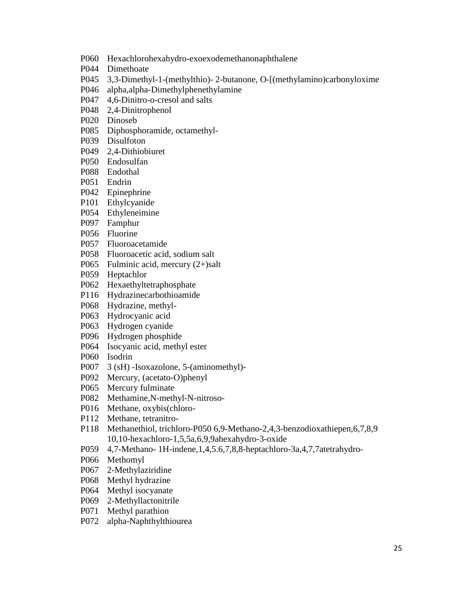- P060 Hexachlorohexahydro-exoexodemethanonaphthalene
- P044 Dimethoate
- P045 3,3-Dimethyl-1-(methylthio)- 2-butanone, O-[(methylamino)carbonyloxime
- P046 alpha,alpha-Dimethylphenethylamine
- P047 4,6-Dinitro-o-cresol and salts
- P048 2,4-Dinitrophenol
- P020 Dinoseb
- P085 Diphosphoramide, octamethyl-
- P039 Disulfoton
- P049 2,4-Dithiobiuret
- P050 Endosulfan
- P088 Endothal
- P051 Endrin
- P042 Epinephrine
- P101 Ethylcyanide
- P054 Ethyleneimine
- P097 Famphur
- P056 Fluorine
- P057 Fluoroacetamide
- P058 Fluoroacetic acid, sodium salt
- P065 Fulminic acid, mercury (2+)salt
- P059 Heptachlor
- P062 Hexaethyltetraphosphate
- P116 Hydrazinecarbothioamide
- P068 Hydrazine, methyl-
- P063 Hydrocyanic acid
- P063 Hydrogen cyanide
- P096 Hydrogen phosphide
- P064 Isocyanic acid, methyl ester
- P060 Isodrin
- P007 3 (sH) -Isoxazolone, 5-(aminomethyl)-
- P092 Mercury, (acetato-O)phenyl
- P065 Mercury fulminate
- P082 Methamine,N-methyl-N-nitroso-
- P016 Methane, oxybis(chloro-
- P112 Methane, tetranitro-
- P118 Methanethiol, trichloro-P050 6,9-Methano-2,4,3-benzodioxathiepen,6,7,8,9 10,10-hexachloro-1,5,5a,6,9,9ahexahydro-3-oxide
- P059 4,7-Methano- 1H-indene,1,4,5.6,7,8,8-heptachloro-3a,4,7,7atetrahydro-
- P066 Methomyl
- P067 2-Methylaziridine
- P068 Methyl hydrazine
- P064 Methyl isocyanate
- P069 2-Methyllactonitrile
- P071 Methyl parathion
- P072 alpha-Naphthylthiourea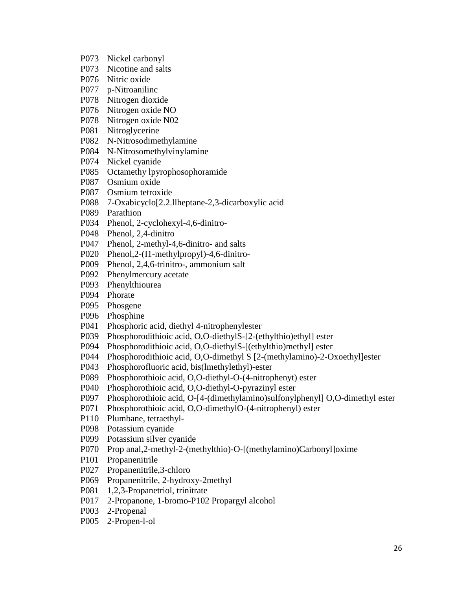- P073 Nickel carbonyl
- P073 Nicotine and salts
- P076 Nitric oxide
- P077 p-Nitroanilinc
- P078 Nitrogen dioxide
- P076 Nitrogen oxide NO
- P078 Nitrogen oxide N02
- P081 Nitroglycerine
- P082 N-Nitrosodimethylamine
- P084 N-Nitrosomethylvinylamine
- P074 Nickel cyanide
- P085 Octamethy lpyrophosophoramide
- P087 Osmium oxide
- P087 Osmium tetroxide
- P088 7-Oxabicyclo[2.2.llheptane-2,3-dicarboxylic acid
- P089 Parathion
- P034 Phenol, 2-cyclohexyl-4,6-dinitro-
- P048 Phenol, 2,4-dinitro
- P047 Phenol, 2-methyl-4,6-dinitro- and salts
- P020 Phenol,2-(I1-methylpropyl)-4,6-dinitro-
- P009 Phenol, 2,4,6-trinitro-, ammonium salt
- P092 Phenylmercury acetate
- P093 Phenylthiourea
- P094 Phorate
- P095 Phosgene
- P096 Phosphine
- P041 Phosphoric acid, diethyl 4-nitrophenylester
- P039 Phosphorodithioic acid, O,O-diethylS-[2-(ethylthio)ethyl] ester
- P094 Phosphorodithioic acid, O,O-diethylS-[(ethylthio)methyl] ester
- P044 Phosphorodithioic acid, O,O-dimethyl S [2-(methylamino)-2-Oxoethyl]ester
- P043 Phosphorofluoric acid, bis(lmethylethyl)-ester
- P089 Phosphorothioic acid, O,O-diethyl-O-(4-nitrophenyt) ester
- P040 Phosphorothioic acid, O,O-diethyl-O-pyrazinyl ester
- P097 Phosphorothioic acid, O-[4-(dimethylamino)sulfonylphenyl] O,O-dimethyl ester
- P071 Phosphorothioic acid, O,O-dimethylO-(4-nitrophenyl) ester
- P110 Plumbane, tetraethyl-
- P098 Potassium cyanide
- P099 Potassium silver cyanide
- P070 Prop anal,2-methyl-2-(methylthio)-O-[(methylamino)Carbonyl]oxime
- P101 Propanenitrile
- P027 Propanenitrile,3-chloro
- P069 Propanenitrile, 2-hydroxy-2methyl
- P081 1,2,3-Propanetriol, trinitrate
- P017 2-Propanone, 1-bromo-P102 Propargyl alcohol
- P003 2-Propenal
- P005 2-Propen-l-ol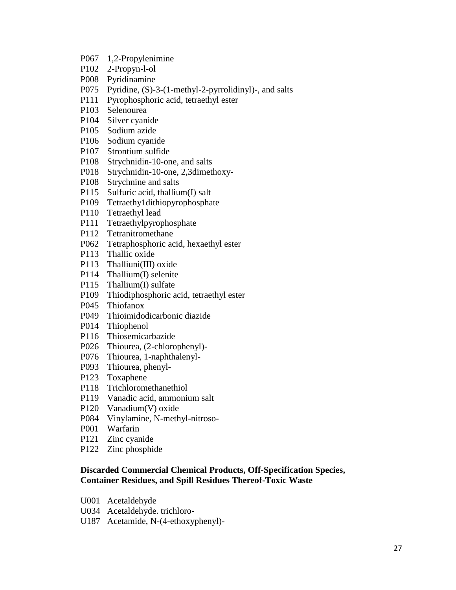- P067 1,2-Propylenimine
- P102 2-Propyn-l-ol
- P008 Pyridinamine
- P075 Pyridine, (S)-3-(1-methyl-2-pyrrolidinyl)-, and salts
- P111 Pyrophosphoric acid, tetraethyl ester
- P103 Selenourea
- P104 Silver cyanide
- P105 Sodium azide
- P106 Sodium cyanide
- P107 Strontium sulfide
- P108 Strychnidin-10-one, and salts
- P018 Strychnidin-10-one, 2,3dimethoxy-
- P108 Strychnine and salts
- P115 Sulfuric acid, thallium(I) salt
- P109 Tetraethy1dithiopyrophosphate
- P110 Tetraethyl lead
- P111 Tetraethylpyrophosphate
- P112 Tetranitromethane
- P062 Tetraphosphoric acid, hexaethyl ester
- P113 Thallic oxide
- P113 Thalliuni(III) oxide
- P114 Thallium(I) selenite
- P115 Thallium(I) sulfate
- P109 Thiodiphosphoric acid, tetraethyl ester
- P045 Thiofanox
- P049 Thioimidodicarbonic diazide
- P014 Thiophenol
- P116 Thiosemicarbazide
- P026 Thiourea, (2-chlorophenyl)-
- P076 Thiourea, 1-naphthalenyl-
- P093 Thiourea, phenyl-
- P123 Toxaphene
- P118 Trichloromethanethiol
- P119 Vanadic acid, ammonium salt
- P120 Vanadium(V) oxide
- P084 Vinylamine, N-methyl-nitroso-
- P001 Warfarin
- P121 Zinc cyanide
- P122 Zinc phosphide

#### **Discarded Commercial Chemical Products, Off-Specification Species, Container Residues, and Spill Residues Thereof-Toxic Waste**

- U001 Acetaldehyde
- U034 Acetaldehyde. trichloro-
- U187 Acetamide, N-(4-ethoxyphenyl)-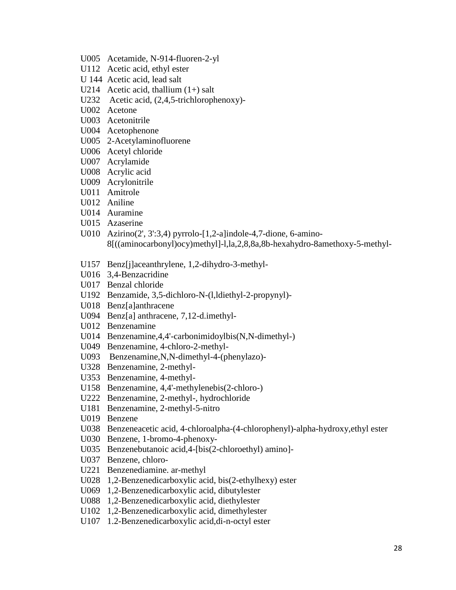- U005 Acetamide, N-914-fluoren-2-yl
- U112 Acetic acid, ethyl ester
- U 144 Acetic acid, lead salt
- U214 Acetic acid, thallium (1+) salt
- U232 Acetic acid, (2,4,5-trichlorophenoxy)-
- U002 Acetone
- U003 Acetonitrile
- U004 Acetophenone
- U005 2-Acetylaminofluorene
- U006 Acetyl chloride
- U007 Acrylamide
- U008 Acrylic acid
- U009 Acrylonitrile
- U011 Amitrole
- U012 Aniline
- U014 Auramine
- U015 Azaserine
- U010 Azirino(2', 3':3,4) pyrrolo-[1,2-a]indole-4,7-dione, 6-amino-8[((aminocarbonyl)ocy)methyl]-l,la,2,8,8a,8b-hexahydro-8amethoxy-5-methyl-
- U157 Benz[j]aceanthrylene, 1,2-dihydro-3-methyl-
- U016 3,4-Benzacridine
- U017 Benzal chloride
- U192 Benzamide, 3,5-dichloro-N-(l,ldiethyl-2-propynyl)-
- U018 Benz[a]anthracene
- U094 Benz[a] anthracene, 7,12-d.imethyl-
- U012 Benzenamine
- U014 Benzenamine,4,4'-carbonimidoylbis(N,N-dimethyl-)
- U049 Benzenamine, 4-chloro-2-methyl-
- U093 Benzenamine,N,N-dimethyl-4-(phenylazo)-
- U328 Benzenamine, 2-methyl-
- U353 Benzenamine, 4-methyl-
- U158 Benzenamine, 4,4'-methylenebis(2-chloro-)
- U222 Benzenamine, 2-methyl-, hydrochloride
- U181 Benzenamine, 2-methyl-5-nitro
- U019 Benzene
- U038 Benzeneacetic acid, 4-chloroalpha-(4-chlorophenyl)-alpha-hydroxy,ethyl ester
- U030 Benzene, 1-bromo-4-phenoxy-
- U035 Benzenebutanoic acid,4-[bis(2-chloroethyl) amino]-
- U037 Benzene, chloro-
- U221 Benzenediamine. ar-methyl
- U028 1,2-Benzenedicarboxylic acid, bis(2-ethylhexy) ester
- U069 1,2-Benzenedicarboxylic acid, dibutylester
- U088 1,2-Benzenedicarboxylic acid, diethylester
- U102 1,2-Benzenedicarboxylic acid, dimethylester
- U107 1.2-Benzenedicarboxylic acid,di-n-octyl ester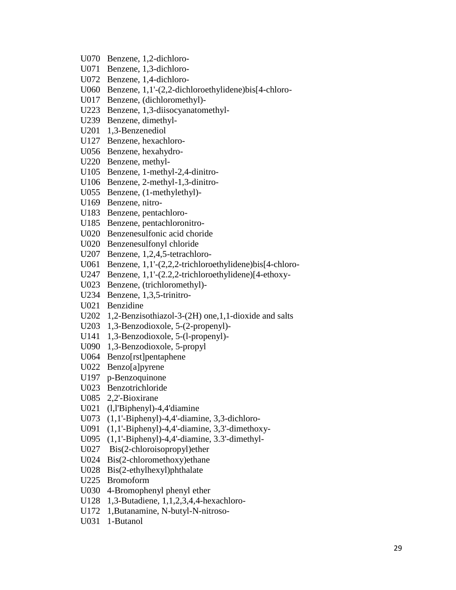- U070 Benzene, 1,2 -dichloro -
- U071 Benzene, 1,3 -dichloro -
- U072 Benzene, 1,4 -dichloro -
- U060 Benzene, 1,1'-(2,2-dichloroethylidene)bis[4-chloro-
- U017 Benzene, (dichloromethyl) -
- U223 Benzene, 1,3 -diisocyanatomethyl -
- U239 Benzene, dimethyl -
- U201 1,3 -Benzenediol
- U127 Benzene, hexachloro -
- U056 Benzene, hexahydro -
- U220 Benzene, methyl -
- U105 Benzene, 1-methyl-2,4-dinitro-
- U106 Benzene, 2-methyl-1,3-dinitro-
- U055 Benzene, (1 -methylethyl) -
- U169 Benzene, nitro -
- U183 Benzene, pentachloro -
- U185 Benzene, pentachloronitro -
- U020 Benzenesulfonic acid choride
- U020 Benzenesulfonyl chloride
- U207 Benzene, 1,2,4,5-tetrachloro-
- U061 Benzene, 1,1<sup>'</sup>-(2,2,2-trichloroethylidene)bis[4-chloro-
- U247 Benzene, 1,1'-(2.2,2-trichloroethylidene)[4-ethoxy-
- U023 Benzene, (trichloromethyl) -
- U234 Benzene, 1,3,5 -trinitro -
- U021 Benzidine
- U202 1,2-Benzisothiazol-3-(2H) one,1,1-dioxide and salts
- U203 1,3-Benzodioxole, 5-(2-propenyl)-
- U141 1,3-Benzodioxole, 5-(1-propenyl)-
- U090 1,3 -Benzodioxole, 5 -propyl
- U064 Benzo[rst]pentaphene
- U022 Benzo[a]pyrene
- U197 p -Benzoquinone
- U023 Benzotrichloride
- U085 2,2' -Bioxirane
- U021 (l,l'Biphenyl) -4,4'diamine
- U073 (1,1'-Biphenyl)-4,4'-diamine, 3,3-dichloro-
- U091 (1,1'-Biphenyl)-4,4'-diamine, 3,3'-dimethoxy-
- U095 (1,1'-Biphenyl)-4,4'-diamine, 3.3'-dimethyl-
- U027 Bis(2 -chloroisopropyl)ether
- U024 Bis(2 -chloromethoxy)ethane
- U028 Bis(2 -ethylhexyl)phthalate
- U225 Bromoform
- U030 4 -Bromophenyl phenyl ether
- U128 1,3-Butadiene, 1,1,2,3,4,4-hexachloro-
- U172 1, Butanamine, N-butyl-N-nitroso-
- U031 1 -Butanol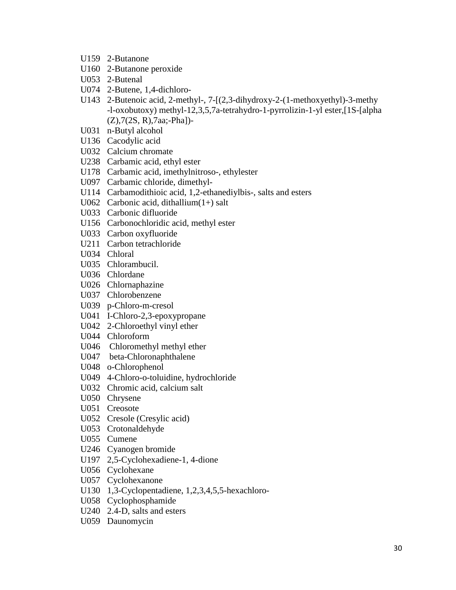- U159 2-Butanone
- U160 2-Butanone peroxide
- U053 2-Butenal
- U074 2-Butene, 1,4-dichloro-
- U143 2-Butenoic acid, 2-methyl-, 7-[(2,3-dihydroxy-2-(1-methoxyethyl)-3-methy -l-oxobutoxy) methyl-12,3,5,7a-tetrahydro-1-pyrrolizin-1-yl ester,[1S-[alpha (Z),7(2S, R),7aa;-Pha])-
- U031 n-Butyl alcohol
- U136 Cacodylic acid
- U032 Calcium chromate
- U238 Carbamic acid, ethyl ester
- U178 Carbamic acid, imethylnitroso-, ethylester
- U097 Carbamic chloride, dimethyl-
- U114 Carbamodithioic acid, 1,2-ethanediylbis-, salts and esters
- U062 Carbonic acid, dithallium(1+) salt
- U033 Carbonic difluoride
- U156 Carbonochloridic acid, methyl ester
- U033 Carbon oxyfluoride
- U211 Carbon tetrachloride
- U034 Chloral
- U035 Chlorambucil.
- U036 Chlordane
- U026 Chlornaphazine
- U037 Chlorobenzene
- U039 p-Chloro-m-cresol
- U041 I-Chloro-2,3-epoxypropane
- U042 2-Chloroethyl vinyl ether
- U044 Chloroform
- U046 Chloromethyl methyl ether
- U047 beta-Chloronaphthalene
- U048 o-Chlorophenol
- U049 4-Chloro-o-toluidine, hydrochloride
- U032 Chromic acid, calcium salt
- U050 Chrysene
- U051 Creosote
- U052 Cresole (Cresylic acid)
- U053 Crotonaldehyde
- U055 Cumene
- U246 Cyanogen bromide
- U197 2,5-Cyclohexadiene-1, 4-dione
- U056 Cyclohexane
- U057 Cyclohexanone
- U130 1,3-Cyclopentadiene, 1,2,3,4,5,5-hexachloro-
- U058 Cyclophosphamide
- U240 2.4-D, salts and esters
- U059 Daunomycin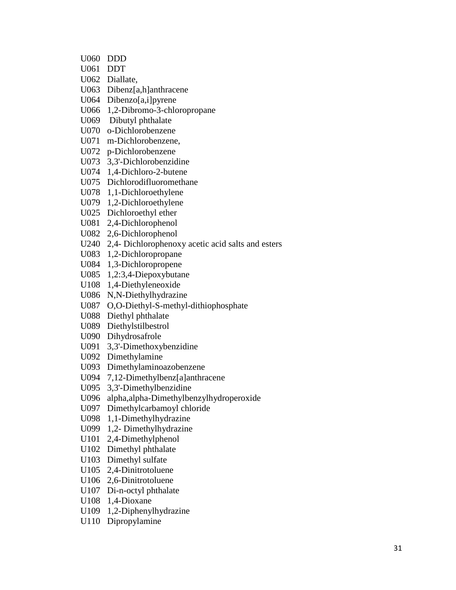U060 DDD

- U061 DDT
- U062 Diallate,
- U063 Dibenz[a,h]anthracene
- U064 Dibenzo[a,i]pyrene
- U066 1,2-Dibromo-3-chloropropane
- U069 Dibutyl phthalate
- U070 o -Dichlorobenzene
- U071 m -Dichlorobenzene,
- U072 p -Dichlorobenzene
- U073 3,3' -Dichlorobenzidine
- U074 1,4-Dichloro-2-butene
- U075 Dichlorodifluoromethane
- U078 1,1 -Dichloroethylene
- U079 1,2 -Dichloroethylene
- U025 Dichloroethyl ether
- U081 2,4 -Dichlorophenol
- U082 2,6 -Dichlorophenol
- U240 2,4 Dichlorophenoxy acetic acid salts and esters
- U083 1,2 -Dichloropropane
- U084 1,3 -Dichloropropene
- U085 1,2:3,4 -Diepoxybutane
- U108 1,4 -Diethyleneoxide
- U086 N,N -Diethylhydrazine
- U087 O,O-Diethyl-S-methyl-dithiophosphate
- U088 Diethyl phthalate
- U089 Diethylstilbestrol
- U090 Dihydrosafrole
- U091 3,3' -Dimethoxybenzidine
- U092 Dimethylamine
- U093 Dimethylaminoazobenzene
- U094 7,12 -Dimethylbenz[a]anthracene
- U095 3,3' -Dimethylbenzidine
- U096 alpha,alpha -Dimethylbenzylhydroperoxide
- U097 Dimethylcarbamoyl chloride
- U098 1,1 -Dimethylhydrazine
- U099 1,2 Dimethylhydrazine
- U101 2,4 -Dimethylphenol
- U102 Dimethyl phthalate
- U103 Dimethyl sulfate
- U105 2,4 -Dinitrotoluene
- U106 2,6 -Dinitrotoluene
- U107 Di n -octyl phthalate
- U108 1,4 -Dioxane
- U109 1,2 -Diphenylhydrazine
- U110 Dipropylamine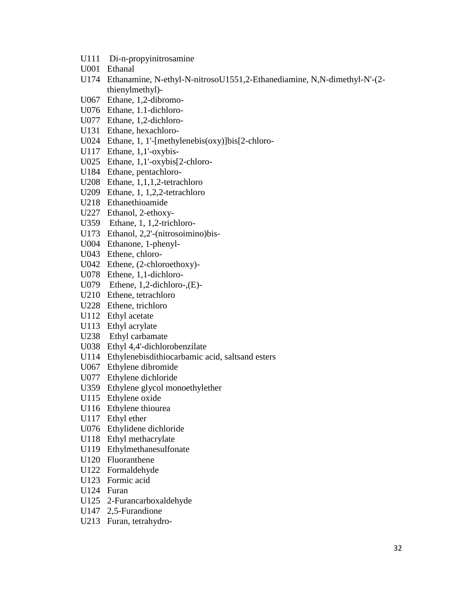- U111 Di-n-propyinitrosamine
- U001 Ethanal
- U174 Ethanamine, N-ethyl-N-nitrosoU1551,2-Ethanediamine, N,N-dimethyl-N'-(2 thienylmethyl)-
- U067 Ethane, 1,2-dibromo-
- U076 Ethane, 1.1-dichloro-
- U077 Ethane, 1,2-dichloro-
- U131 Ethane, hexachloro-
- U024 Ethane, 1, 1'-[methylenebis(oxy)]bis[2-chloro-
- U117 Ethane, 1,1'-oxybis-
- U025 Ethane, 1,1'-oxybis[2-chloro-
- U184 Ethane, pentachloro-
- U208 Ethane, 1,1,1,2-tetrachloro
- U209 Ethane, 1, 1,2,2-tetrachloro
- U218 Ethanethioamide
- U227 Ethanol, 2-ethoxy-
- U359 Ethane, 1, 1,2-trichloro-
- U173 Ethanol, 2,2'-(nitrosoimino)bis-
- U004 Ethanone, 1-phenyl-
- U043 Ethene, chloro-
- U042 Ethene, (2-chloroethoxy)-
- U078 Ethene, 1,1-dichloro-
- U079 Ethene, 1,2-dichloro-,(E)-
- U210 Ethene, tetrachloro
- U228 Ethene, trichloro
- U112 Ethyl acetate
- U113 Ethyl acrylate
- U238 Ethyl carbamate
- U038 Ethyl 4,4'-dichlorobenzilate
- U114 Ethylenebisdithiocarbamic acid, saltsand esters
- U067 Ethylene dibromide
- U077 Ethylene dichloride
- U359 Ethylene glycol monoethylether
- U115 Ethylene oxide
- U116 Ethylene thiourea
- U117 Ethyl ether
- U076 Ethylidene dichloride
- U118 Ethyl methacrylate
- U119 Ethylmethanesulfonate
- U120 Fluoranthene
- U122 Formaldehyde
- U123 Formic acid
- U124 Furan
- U125 2-Furancarboxaldehyde
- U147 2,5-Furandione
- U213 Furan, tetrahydro-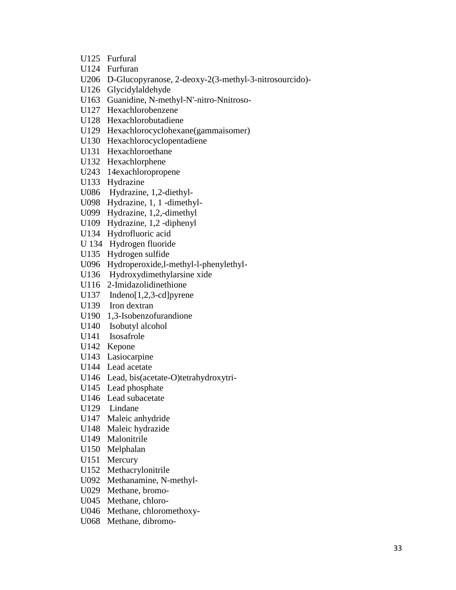- U125 Furfural
- U124 Furfuran
- U206 D-Glucopyranose, 2-deoxy-2(3-methyl-3-nitrosourcido)-
- U126 Glycidylaldehyde
- U163 Guanidine, N-methyl-N'-nitro-Nnitroso-
- U127 Hexachlorobenzene
- U128 Hexachlorobutadiene
- U129 Hexachlorocyclohexane(gammaisomer)
- U130 Hexachlorocyclopentadiene
- U131 Hexachloroethane
- U132 Hexachlorphene
- U243 14exachloropropene
- U133 Hydrazine
- U086 Hydrazine, 1,2-diethyl-
- U098 Hydrazine, 1, 1 -dimethyl-
- U099 Hydrazine, 1,2,-dimethyl
- U109 Hydrazine, 1,2 -diphenyl
- U134 Hydrofluoric acid
- U 134 Hydrogen fluoride
- U135 Hydrogen sulfide
- U096 Hydroperoxide,l-methyl-l-phenylethyl-
- U136 Hydroxydimethylarsine xide
- U116 2-Imidazolidinethione
- U137 Indeno[1,2,3-cd] pyrene
- U139 Iron dextran
- U190 1,3-Isobenzofurandione
- U140 Isobutyl alcohol
- U141 Isosafrole
- U142 Kepone
- U143 Lasiocarpine
- U144 Lead acetate
- U146 Lead, bis(acetate-O)tetrahydroxytri-
- U145 Lead phosphate
- U146 Lead subacetate
- U129 Lindane
- U147 Maleic anhydride
- U148 Maleic hydrazide
- U149 Malonitrile
- U150 Melphalan
- U151 Mercury
- U152 Methacrylonitrile
- U092 Methanamine, N-methyl-
- U029 Methane, bromo-
- U045 Methane, chloro-
- U046 Methane, chloromethoxy-
- U068 Methane, dibromo-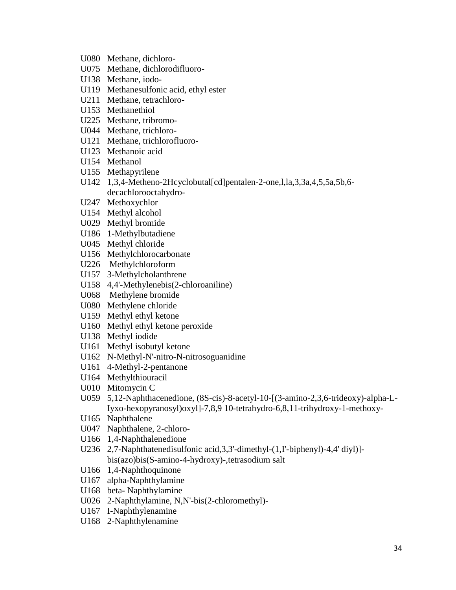- U080 Methane, dichloro-
- U075 Methane, dichlorodifluoro-
- U138 Methane, iodo-
- U119 Methanesulfonic acid, ethyl ester
- U211 Methane, tetrachloro-
- U153 Methanethiol
- U225 Methane, tribromo-
- U044 Methane, trichloro-
- U121 Methane, trichlorofluoro-
- U123 Methanoic acid
- U154 Methanol
- U155 Methapyrilene
- U142 1,3,4-Metheno-2Hcyclobutal[cd]pentalen-2-one,l,la,3,3a,4,5,5a,5b,6 decachlorooctahydro-
- U247 Methoxychlor
- U154 Methyl alcohol
- U029 Methyl bromide
- U186 1-Methylbutadiene
- U045 Methyl chloride
- U156 Methylchlorocarbonate
- U226 Methylchloroform
- U157 3-Methylcholanthrene
- U158 4,4'-Methylenebis(2-chloroaniline)
- U068 Methylene bromide
- U080 Methylene chloride
- U159 Methyl ethyl ketone
- U160 Methyl ethyl ketone peroxide
- U138 Methyl iodide
- U161 Methyl isobutyl ketone
- U162 N-Methyl-N'-nitro-N-nitrosoguanidine
- U161 4-Methyl-2-pentanone
- U164 Methylthiouracil
- U010 Mitomycin C
- U059 5,12-Naphthacenedione, (8S-cis)-8-acetyl-10-[(3-amino-2,3,6-trideoxy)-alpha-L-Iyxo-hexopyranosyl)oxyl]-7,8,9 10-tetrahydro-6,8,11-trihydroxy-1-methoxy-
- U165 Naphthalene
- U047 Naphthalene, 2-chloro-
- U166 1,4-Naphthalenedione
- U236 2,7-Naphthatenedisulfonic acid,3,3'-dimethyl-(1,I'-biphenyl)-4,4' diyl)] bis(azo)bis(S-amino-4-hydroxy)-,tetrasodium salt
- U166 1,4-Naphthoquinone
- U167 alpha-Naphthylamine
- U168 beta- Naphthylamine
- U026 2-Naphthylamine, N,N'-bis(2-chloromethyl)-
- U167 I-Naphthylenamine
- U168 2-Naphthylenamine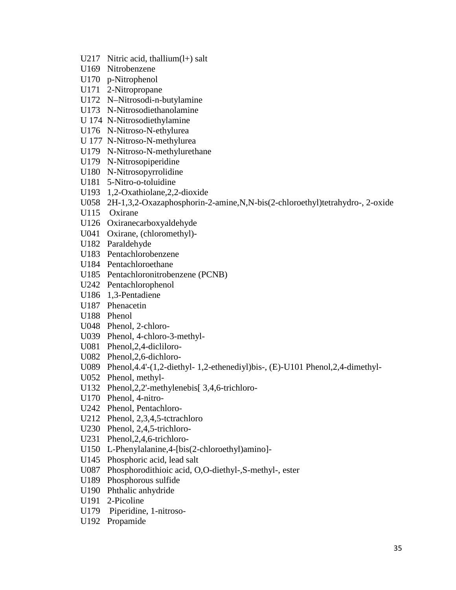- U217 Nitric acid, thallium $(l+)$  salt
- U169 Nitrobenzene
- U170 p-Nitrophenol
- U171 2-Nitropropane
- U172 N–Nitrosodi-n-butylamine
- U173 N-Nitrosodiethanolamine
- U 174 N-Nitrosodiethylamine
- U176 N-Nitroso-N-ethylurea
- U 177 N-Nitroso-N-methylurea
- U179 N-Nitroso-N-methylurethane
- U179 N-Nitrosopiperidine
- U180 N-Nitrosopyrrolidine
- U181 5-Nitro-o-toluidine
- U193 1,2-Oxathiolane,2,2-dioxide
- U058 2H-1,3,2-Oxazaphosphorin-2-amine,N,N-bis(2-chloroethyl)tetrahydro-, 2-oxide
- U115 Oxirane
- U126 Oxiranecarboxyaldehyde
- U041 Oxirane, (chloromethyl)-
- U182 Paraldehyde
- U183 Pentachlorobenzene
- U184 Pentachloroethane
- U185 Pentachloronitrobenzene (PCNB)
- U242 Pentachlorophenol
- U186 1,3-Pentadiene
- U187 Phenacetin
- U188 Phenol
- U048 Phenol, 2-chloro-
- U039 Phenol, 4-chloro-3-methyl-
- U081 Phenol,2,4-dicliloro-
- U082 Phenol,2,6-dichloro-
- U089 Phenol,4.4'-(1,2-diethyl- 1,2-ethenediyl)bis-, (E)-U101 Phenol,2,4-dimethyl-
- U052 Phenol, methyl-
- U132 Phenol,2,2'-methylenebis[ 3,4,6-trichloro-
- U170 Phenol, 4-nitro-
- U242 Phenol, Pentachloro-
- U212 Phenol, 2,3,4,5-tctrachloro
- U230 Phenol, 2,4,5-trichloro-
- U231 Phenol,2,4,6-trichloro-
- U150 L-Phenylalanine,4-[bis(2-chloroethyl)amino]-
- U145 Phosphoric acid, lead salt
- U087 Phosphorodithioic acid, O,O-diethyl-,S-methyl-, ester
- U189 Phosphorous sulfide
- U190 Phthalic anhydride
- U191 2-Picoline
- U179 Piperidine, 1-nitroso-
- U192 Propamide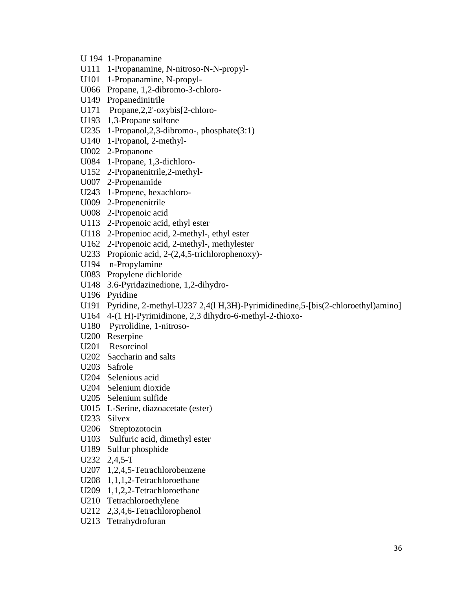- U 194 1-Propanamine
- U111 1-Propanamine, N-nitroso-N-N-propyl-
- U101 1-Propanamine, N-propyl-
- U066 Propane, 1,2-dibromo-3-chloro-
- U149 Propanedinitrile
- U171 Propane,2,2'-oxybis[2-chloro-
- U193 1,3-Propane sulfone
- U235 1-Propanol,2,3-dibromo-, phosphate(3:1)
- U140 1-Propanol, 2-methyl-
- U002 2-Propanone
- U084 1-Propane, 1,3-dichloro-
- U152 2-Propanenitrile,2-methyl-
- U007 2-Propenamide
- U243 1-Propene, hexachloro-
- U009 2-Propenenitrile
- U008 2-Propenoic acid
- U113 2-Propenoic acid, ethyl ester
- U118 2-Propenioc acid, 2-methyl-, ethyl ester
- U162 2-Propenoic acid, 2-methyl-, methylester
- U233 Propionic acid, 2-(2,4,5-trichlorophenoxy)-
- U194 n-Propylamine
- U083 Propylene dichloride
- U148 3.6-Pyridazinedione, 1,2-dihydro-
- U196 Pyridine
- U191 Pyridine, 2-methyl-U237 2,4(l H,3H)-Pyrimidinedine,5-[bis(2-chloroethyl)amino]
- U164 4-(1 H)-Pyrimidinone, 2,3 dihydro-6-methyl-2-thioxo-
- U180 Pyrrolidine, 1-nitroso-
- U200 Reserpine
- U201 Resorcinol
- U202 Saccharin and salts
- U203 Safrole
- U204 Selenious acid
- U204 Selenium dioxide
- U205 Selenium sulfide
- U015 L-Serine, diazoacetate (ester)
- U233 Silvex
- U206 Streptozotocin
- U103 Sulfuric acid, dimethyl ester
- U189 Sulfur phosphide
- U232 2,4,5-T
- U207 1,2,4,5-Tetrachlorobenzene
- U208 1,1,1,2-Tetrachloroethane
- U209 1,1,2,2-Tetrachloroethane
- U210 Tetrachloroethylene
- U212 2,3,4,6-Tetrachlorophenol
- U213 Tetrahydrofuran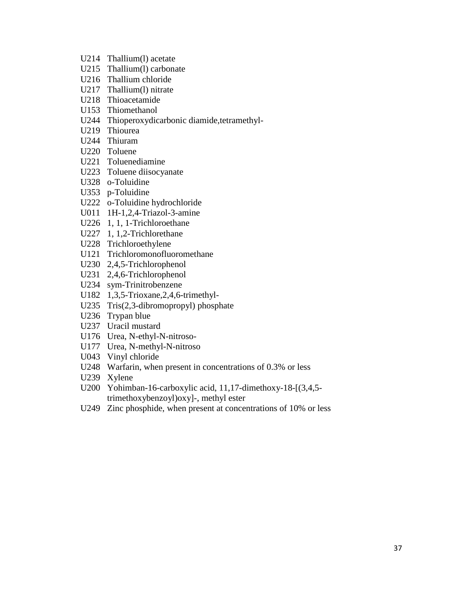- U214 Thallium(l) acetate
- U215 Thallium(l) carbonate
- U216 Thallium chloride
- U217 Thallium(l) nitrate
- U218 Thioacetamide
- U153 Thiomethanol
- U244 Thioperoxydicarbonic diamide,tetramethyl-
- U219 Thiourea
- U244 Thiuram
- U220 Toluene
- U221 Toluenediamine
- U223 Toluene diisocyanate
- U328 o-Toluidine
- U353 p-Toluidine
- U222 o-Toluidine hydrochloride
- U011 1H-1,2,4-Triazol-3-amine
- U226 1, 1, 1-Trichloroethane
- U227 1, 1,2-Trichlorethane
- U228 Trichloroethylene
- U121 Trichloromonofluoromethane
- U230 2,4,5-Trichlorophenol
- U231 2,4,6-Trichlorophenol
- U234 sym-Trinitrobenzene
- U182 1,3,5-Trioxane,2,4,6-trimethyl-
- U235 Tris(2,3-dibromopropyl) phosphate
- U236 Trypan blue
- U237 Uracil mustard
- U176 Urea, N-ethyl-N-nitroso-
- U177 Urea, N-methyl-N-nitroso
- U043 Vinyl chloride
- U248 Warfarin, when present in concentrations of 0.3% or less
- U239 Xylene
- U200 Yohimban-16-carboxylic acid, 11,17-dimethoxy-18-[(3,4,5 trimethoxybenzoyl)oxy]-, methyl ester
- U249 Zinc phosphide, when present at concentrations of 10% or less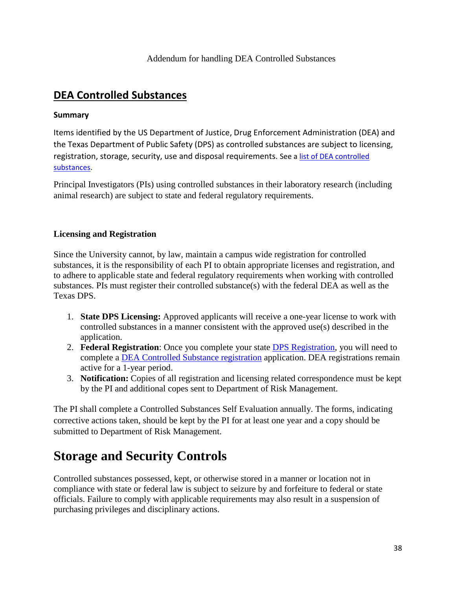#### Addendum for handling DEA Controlled Substances

### **DEA Controlled Substances**

#### **Summary**

Items identified by the US Department of Justice, Drug Enforcement Administration (DEA) and the Texas Department of Public Safety (DPS) as controlled substances are subject to licensing, registration, storage, security, use and disposal requirements. See a [list of DEA controlled](http://www.deadiversion.usdoj.gov/schedules/)  [substances.](http://www.deadiversion.usdoj.gov/schedules/)

Principal Investigators (PIs) using controlled substances in their laboratory research (including animal research) are subject to state and federal regulatory requirements.

#### **Licensing and Registration**

Since the University cannot, by law, maintain a campus wide registration for controlled substances, it is the responsibility of each PI to obtain appropriate licenses and registration, and to adhere to applicable state and federal regulatory requirements when working with controlled substances. PIs must register their controlled substance(s) with the federal DEA as well as the Texas DPS.

- 1. **State DPS Licensing:** Approved applicants will receive a one-year license to work with controlled substances in a manner consistent with the approved use(s) described in the application.
- 2. **Federal Registration**: Once you complete your state [DPS Registration,](http://www.txdps.state.tx.us/RegulatoryServices/narcotics/narccsr.htm) you will need to complete a [DEA Controlled Substance registration](http://www.deadiversion.usdoj.gov/) application. DEA registrations remain active for a 1-year period.
- 3. **Notification:** Copies of all registration and licensing related correspondence must be kept by the PI and additional copes sent to Department of Risk Management.

The PI shall complete a Controlled Substances Self Evaluation annually. The forms, indicating corrective actions taken, should be kept by the PI for at least one year and a copy should be submitted to Department of Risk Management.

## **Storage and Security Controls**

Controlled substances possessed, kept, or otherwise stored in a manner or location not in compliance with state or federal law is subject to seizure by and forfeiture to federal or state officials. Failure to comply with applicable requirements may also result in a suspension of purchasing privileges and disciplinary actions.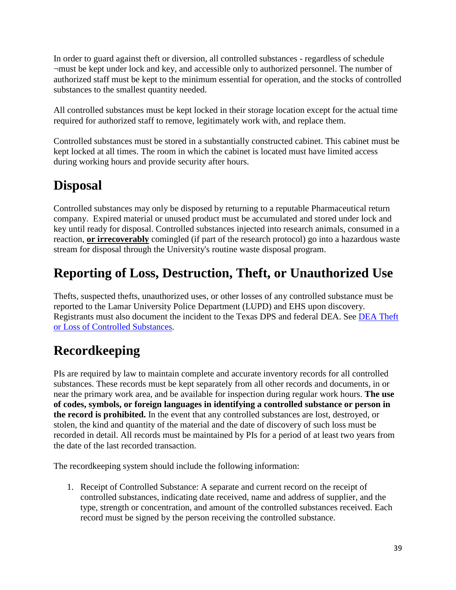In order to guard against theft or diversion, all controlled substances - regardless of schedule ¬must be kept under lock and key, and accessible only to authorized personnel. The number of authorized staff must be kept to the minimum essential for operation, and the stocks of controlled substances to the smallest quantity needed.

All controlled substances must be kept locked in their storage location except for the actual time required for authorized staff to remove, legitimately work with, and replace them.

Controlled substances must be stored in a substantially constructed cabinet. This cabinet must be kept locked at all times. The room in which the cabinet is located must have limited access during working hours and provide security after hours.

# **Disposal**

Controlled substances may only be disposed by returning to a reputable Pharmaceutical return company. Expired material or unused product must be accumulated and stored under lock and key until ready for disposal. Controlled substances injected into research animals, consumed in a reaction, **or irrecoverably** comingled (if part of the research protocol) go into a hazardous waste stream for disposal through the University's routine waste disposal program.

# **Reporting of Loss, Destruction, Theft, or Unauthorized Use**

Thefts, suspected thefts, unauthorized uses, or other losses of any controlled substance must be reported to the Lamar University Police Department (LUPD) and EHS upon discovery. Registrants must also document the incident to the Texas DPS and federal DEA. See [DEA Theft](http://www.deadiversion.usdoj.gov/21cfr_reports/theft/)  [or Loss of Controlled Substances.](http://www.deadiversion.usdoj.gov/21cfr_reports/theft/)

# **Recordkeeping**

PIs are required by law to maintain complete and accurate inventory records for all controlled substances. These records must be kept separately from all other records and documents, in or near the primary work area, and be available for inspection during regular work hours. **The use of codes, symbols, or foreign languages in identifying a controlled substance or person in the record is prohibited.** In the event that any controlled substances are lost, destroyed, or stolen, the kind and quantity of the material and the date of discovery of such loss must be recorded in detail. All records must be maintained by PIs for a period of at least two years from the date of the last recorded transaction.

The recordkeeping system should include the following information:

1. Receipt of Controlled Substance: A separate and current record on the receipt of controlled substances, indicating date received, name and address of supplier, and the type, strength or concentration, and amount of the controlled substances received. Each record must be signed by the person receiving the controlled substance.